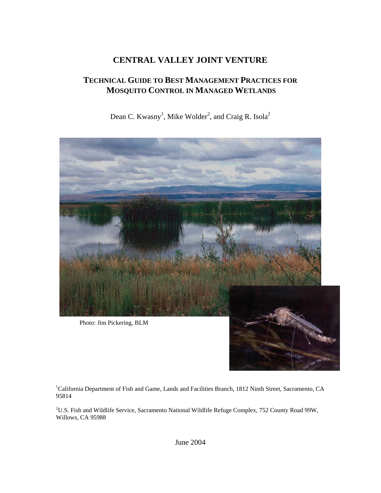## **CENTRAL VALLEY JOINT VENTURE**

### **TECHNICAL GUIDE TO BEST MANAGEMENT PRACTICES FOR MOSQUITO CONTROL IN MANAGED WETLANDS**

Dean C. Kwasny<sup>1</sup>, Mike Wolder<sup>2</sup>, and Craig R. Isola<sup>2</sup>



<sup>1</sup>California Department of Fish and Game, Lands and Facilities Branch, 1812 Ninth Street, Sacramento, CA 95814

 $2^2$ U.S. Fish and Wildlife Service, Sacramento National Wildlife Refuge Complex, 752 County Road 99W, Willows, CA 95988

June 2004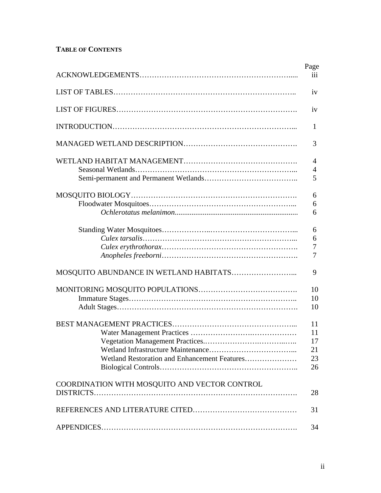### **TABLE OF CONTENTS**

|                                                                                 | Page<br>iii                      |
|---------------------------------------------------------------------------------|----------------------------------|
|                                                                                 |                                  |
|                                                                                 | iv                               |
|                                                                                 | iv                               |
|                                                                                 | 1                                |
|                                                                                 | 3                                |
|                                                                                 | 4<br>$\overline{4}$<br>5         |
|                                                                                 | 6<br>6<br>6                      |
|                                                                                 | 6<br>6<br>7<br>$\overline{7}$    |
|                                                                                 | 9                                |
|                                                                                 | 10<br>10<br>10                   |
| Vegetation Management Practices<br>Wetland Restoration and Enhancement Features | 11<br>11<br>17<br>21<br>23<br>26 |
| COORDINATION WITH MOSQUITO AND VECTOR CONTROL                                   | 28                               |
|                                                                                 | 31                               |
|                                                                                 | 34                               |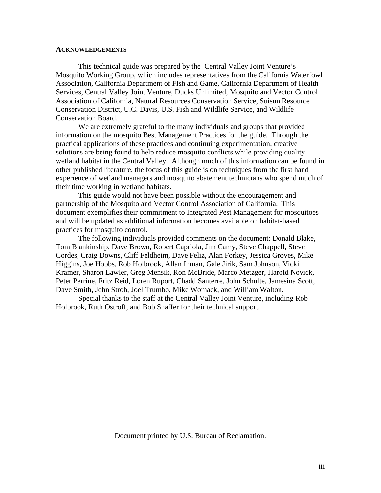#### **ACKNOWLEDGEMENTS**

This technical guide was prepared by the Central Valley Joint Venture's Mosquito Working Group, which includes representatives from the California Waterfowl Association, California Department of Fish and Game, California Department of Health Services, Central Valley Joint Venture, Ducks Unlimited, Mosquito and Vector Control Association of California, Natural Resources Conservation Service, Suisun Resource Conservation District, U.C. Davis, U.S. Fish and Wildlife Service, and Wildlife Conservation Board.

We are extremely grateful to the many individuals and groups that provided information on the mosquito Best Management Practices for the guide. Through the practical applications of these practices and continuing experimentation, creative solutions are being found to help reduce mosquito conflicts while providing quality wetland habitat in the Central Valley. Although much of this information can be found in other published literature, the focus of this guide is on techniques from the first hand experience of wetland managers and mosquito abatement technicians who spend much of their time working in wetland habitats.

This guide would not have been possible without the encouragement and partnership of the Mosquito and Vector Control Association of California. This document exemplifies their commitment to Integrated Pest Management for mosquitoes and will be updated as additional information becomes available on habitat-based practices for mosquito control.

The following individuals provided comments on the document: Donald Blake, Tom Blankinship, Dave Brown, Robert Capriola, Jim Camy, Steve Chappell, Steve Cordes, Craig Downs, Cliff Feldheim, Dave Feliz, Alan Forkey, Jessica Groves, Mike Higgins, Joe Hobbs, Rob Holbrook, Allan Inman, Gale Jirik, Sam Johnson, Vicki Kramer, Sharon Lawler, Greg Mensik, Ron McBride, Marco Metzger, Harold Novick, Peter Perrine, Fritz Reid, Loren Ruport, Chadd Santerre, John Schulte, Jamesina Scott, Dave Smith, John Stroh, Joel Trumbo, Mike Womack, and William Walton.

Special thanks to the staff at the Central Valley Joint Venture, including Rob Holbrook, Ruth Ostroff, and Bob Shaffer for their technical support.

Document printed by U.S. Bureau of Reclamation.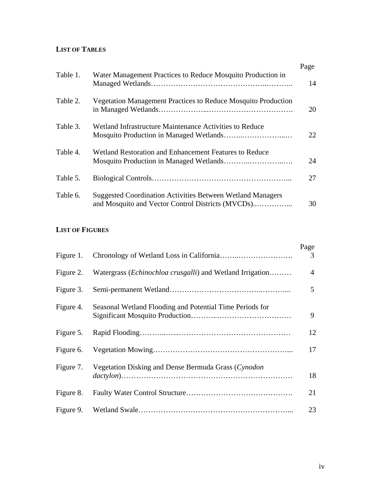### **LIST OF TABLES**

|          |                                                                                                                        | Page |
|----------|------------------------------------------------------------------------------------------------------------------------|------|
| Table 1. | Water Management Practices to Reduce Mosquito Production in                                                            | 14   |
| Table 2. | <b>Vegetation Management Practices to Reduce Mosquito Production</b>                                                   | 20   |
| Table 3. | Wetland Infrastructure Maintenance Activities to Reduce                                                                | 22   |
| Table 4. | Wetland Restoration and Enhancement Features to Reduce                                                                 | 24   |
| Table 5. |                                                                                                                        | 27   |
| Table 6. | <b>Suggested Coordination Activities Between Wetland Managers</b><br>and Mosquito and Vector Control Districts (MVCDs) | 30   |

### **LIST OF FIGURES**

| Figure 1. |                                                                    | Page<br>3 |
|-----------|--------------------------------------------------------------------|-----------|
| Figure 2. | Watergrass ( <i>Echinochloa crusgalli</i> ) and Wetland Irrigation | 4         |
| Figure 3. |                                                                    | 5         |
| Figure 4. | Seasonal Wetland Flooding and Potential Time Periods for           | 9         |
| Figure 5. |                                                                    | 12        |
| Figure 6. |                                                                    | 17        |
| Figure 7. | Vegetation Disking and Dense Bermuda Grass (Cynodon                | 18        |
| Figure 8. |                                                                    | 21        |
|           |                                                                    | 23        |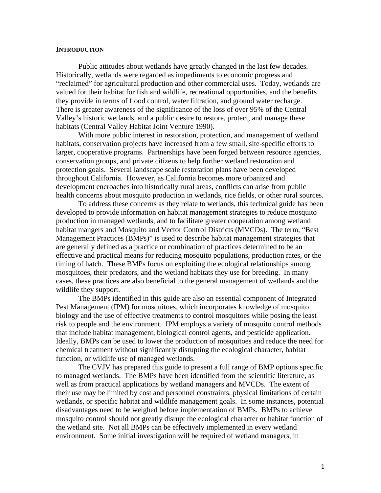### **INTRODUCTION**

Public attitudes about wetlands have greatly changed in the last few decades. Historically, wetlands were regarded as impediments to economic progress and "reclaimed" for agricultural production and other commercial uses. Today, wetlands are valued for their habitat for fish and wildlife, recreational opportunities, and the benefits they provide in terms of flood control, water filtration, and ground water recharge. There is greater awareness of the significance of the loss of over 95% of the Central Valley's historic wetlands, and a public desire to restore, protect, and manage these habitats (Central Valley Habitat Joint Venture 1990).

With more public interest in restoration, protection, and management of wetland habitats, conservation projects have increased from a few small, site-specific efforts to larger, cooperative programs. Partnerships have been forged between resource agencies, conservation groups, and private citizens to help further wetland restoration and protection goals. Several landscape scale restoration plans have been developed throughout California. However, as California becomes more urbanized and development encroaches into historically rural areas, conflicts can arise from public health concerns about mosquito production in wetlands, rice fields, or other rural sources.

To address these concerns as they relate to wetlands, this technical guide has been developed to provide information on habitat management strategies to reduce mosquito production in managed wetlands, and to facilitate greater cooperation among wetland habitat mangers and Mosquito and Vector Control Districts (MVCDs). The term, "Best Management Practices (BMPs)" is used to describe habitat management strategies that are generally defined as a practice or combination of practices determined to be an effective and practical means for reducing mosquito populations, production rates, or the timing of hatch. These BMPs focus on exploiting the ecological relationships among mosquitoes, their predators, and the wetland habitats they use for breeding. In many cases, these practices are also beneficial to the general management of wetlands and the wildlife they support.

The BMPs identified in this guide are also an essential component of Integrated Pest Management (IPM) for mosquitoes, which incorporates knowledge of mosquito biology and the use of effective treatments to control mosquitoes while posing the least risk to people and the environment. IPM employs a variety of mosquito control methods that include habitat management, biological control agents, and pesticide application. Ideally, BMPs can be used to lower the production of mosquitoes and reduce the need for chemical treatment without significantly disrupting the ecological character, habitat function, or wildlife use of managed wetlands.

The CVJV has prepared this guide to present a full range of BMP options specific to managed wetlands. The BMPs have been identified from the scientific literature, as well as from practical applications by wetland managers and MVCDs. The extent of their use may be limited by cost and personnel constraints, physical limitations of certain wetlands, or specific habitat and wildlife management goals. In some instances, potential disadvantages need to be weighed before implementation of BMPs. BMPs to achieve mosquito control should not greatly disrupt the ecological character or habitat function of the wetland site. Not all BMPs can be effectively implemented in every wetland environment. Some initial investigation will be required of wetland managers, in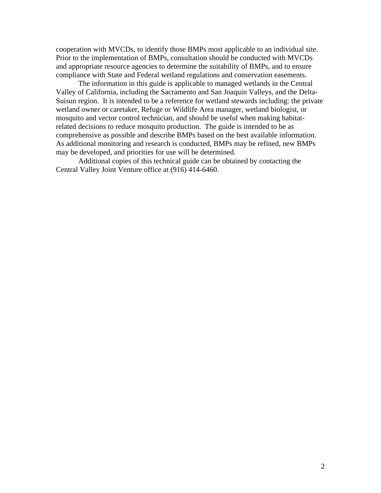cooperation with MVCDs, to identify those BMPs most applicable to an individual site. Prior to the implementation of BMPs, consultation should be conducted with MVCDs and appropriate resource agencies to determine the suitability of BMPs, and to ensure compliance with State and Federal wetland regulations and conservation easements.

The information in this guide is applicable to managed wetlands in the Central Valley of California, including the Sacramento and San Joaquin Valleys, and the Delta-Suisun region. It is intended to be a reference for wetland stewards including: the private wetland owner or caretaker, Refuge or Wildlife Area manager, wetland biologist, or mosquito and vector control technician, and should be useful when making habitatrelated decisions to reduce mosquito production. The guide is intended to be as comprehensive as possible and describe BMPs based on the best available information. As additional monitoring and research is conducted, BMPs may be refined, new BMPs may be developed, and priorities for use will be determined.

Additional copies of this technical guide can be obtained by contacting the Central Valley Joint Venture office at (916) 414-6460.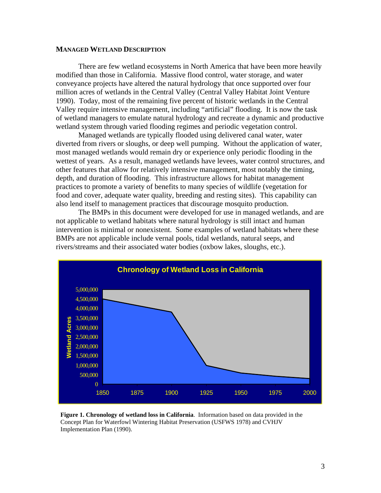#### **MANAGED WETLAND DESCRIPTION**

There are few wetland ecosystems in North America that have been more heavily modified than those in California. Massive flood control, water storage, and water conveyance projects have altered the natural hydrology that once supported over four million acres of wetlands in the Central Valley (Central Valley Habitat Joint Venture 1990). Today, most of the remaining five percent of historic wetlands in the Central Valley require intensive management, including "artificial" flooding. It is now the task of wetland managers to emulate natural hydrology and recreate a dynamic and productive wetland system through varied flooding regimes and periodic vegetation control.

Managed wetlands are typically flooded using delivered canal water, water diverted from rivers or sloughs, or deep well pumping. Without the application of water, most managed wetlands would remain dry or experience only periodic flooding in the wettest of years. As a result, managed wetlands have levees, water control structures, and other features that allow for relatively intensive management, most notably the timing, depth, and duration of flooding. This infrastructure allows for habitat management practices to promote a variety of benefits to many species of wildlife (vegetation for food and cover, adequate water quality, breeding and resting sites). This capability can also lend itself to management practices that discourage mosquito production.

The BMPs in this document were developed for use in managed wetlands, and are not applicable to wetland habitats where natural hydrology is still intact and human intervention is minimal or nonexistent. Some examples of wetland habitats where these BMPs are not applicable include vernal pools, tidal wetlands, natural seeps, and rivers/streams and their associated water bodies (oxbow lakes, sloughs, etc.).



**Figure 1. Chronology of wetland loss in California**. Information based on data provided in the Concept Plan for Waterfowl Wintering Habitat Preservation (USFWS 1978) and CVHJV Implementation Plan (1990).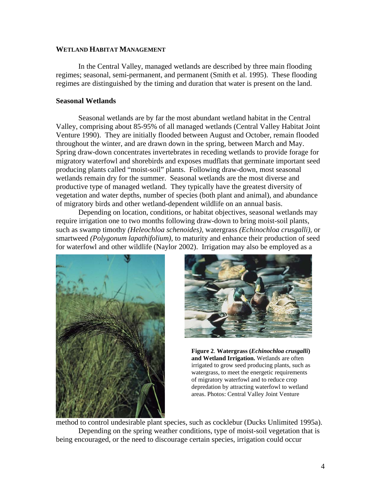#### **WETLAND HABITAT MANAGEMENT**

In the Central Valley, managed wetlands are described by three main flooding regimes; seasonal, semi-permanent, and permanent (Smith et al. 1995). These flooding regimes are distinguished by the timing and duration that water is present on the land.

#### **Seasonal Wetlands**

 Seasonal wetlands are by far the most abundant wetland habitat in the Central Valley, comprising about 85-95% of all managed wetlands (Central Valley Habitat Joint Venture 1990). They are initially flooded between August and October, remain flooded throughout the winter, and are drawn down in the spring, between March and May. Spring draw-down concentrates invertebrates in receding wetlands to provide forage for migratory waterfowl and shorebirds and exposes mudflats that germinate important seed producing plants called "moist-soil" plants. Following draw-down, most seasonal wetlands remain dry for the summer. Seasonal wetlands are the most diverse and productive type of managed wetland. They typically have the greatest diversity of vegetation and water depths, number of species (both plant and animal), and abundance of migratory birds and other wetland-dependent wildlife on an annual basis.

Depending on location, conditions, or habitat objectives, seasonal wetlands may require irrigation one to two months following draw-down to bring moist-soil plants, such as swamp timothy *(Heleochloa schenoides)*, watergrass *(Echinochloa crusgalli)*, or smartweed *(Polygonum lapathifolium),* to maturity and enhance their production of seed for waterfowl and other wildlife (Naylor 2002). Irrigation may also be employed as a





**Figure 2**. **Watergrass (***Echinochloa crusgalli***) and Wetland Irrigation.** Wetlands are often irrigated to grow seed producing plants, such as watergrass, to meet the energetic requirements of migratory waterfowl and to reduce crop depredation by attracting waterfowl to wetland areas. Photos: Central Valley Joint Venture

method to control undesirable plant species, such as cocklebur (Ducks Unlimited 1995a). Depending on the spring weather conditions, type of moist-soil vegetation that is being encouraged, or the need to discourage certain species, irrigation could occur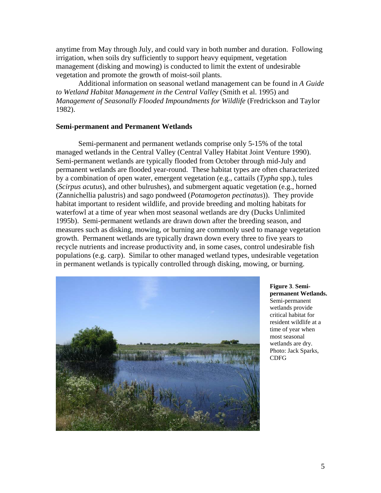anytime from May through July, and could vary in both number and duration. Following irrigation, when soils dry sufficiently to support heavy equipment, vegetation management (disking and mowing) is conducted to limit the extent of undesirable vegetation and promote the growth of moist-soil plants.

Additional information on seasonal wetland management can be found in *A Guide to Wetland Habitat Management in the Central Valley* (Smith et al. 1995) and *Management of Seasonally Flooded Impoundments for Wildlife* (Fredrickson and Taylor 1982).

### **Semi-permanent and Permanent Wetlands**

Semi-permanent and permanent wetlands comprise only 5-15% of the total managed wetlands in the Central Valley (Central Valley Habitat Joint Venture 1990). Semi-permanent wetlands are typically flooded from October through mid-July and permanent wetlands are flooded year-round. These habitat types are often characterized by a combination of open water, emergent vegetation (e.g., cattails (*Typha* spp.), tules (*Scirpus acutus*), and other bulrushes), and submergent aquatic vegetation (e.g., horned (Zannichellia palustris) and sago pondweed (*Potamogeton pectinatus*)). They provide habitat important to resident wildlife, and provide breeding and molting habitats for waterfowl at a time of year when most seasonal wetlands are dry (Ducks Unlimited 1995b). Semi-permanent wetlands are drawn down after the breeding season, and measures such as disking, mowing, or burning are commonly used to manage vegetation growth. Permanent wetlands are typically drawn down every three to five years to recycle nutrients and increase productivity and, in some cases, control undesirable fish populations (e.g. carp). Similar to other managed wetland types, undesirable vegetation in permanent wetlands is typically controlled through disking, mowing, or burning.



**Figure 3**. **Semipermanent Wetlands.** Semi-permanent wetlands provide critical habitat for resident wildlife at a time of year when most seasonal wetlands are dry. Photo: Jack Sparks, CDFG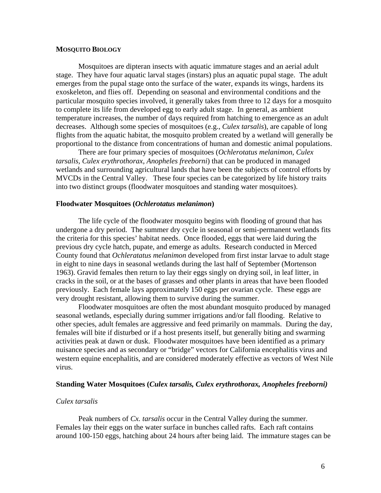#### **MOSQUITO BIOLOGY**

Mosquitoes are dipteran insects with aquatic immature stages and an aerial adult stage. They have four aquatic larval stages (instars) plus an aquatic pupal stage. The adult emerges from the pupal stage onto the surface of the water, expands its wings, hardens its exoskeleton, and flies off. Depending on seasonal and environmental conditions and the particular mosquito species involved, it generally takes from three to 12 days for a mosquito to complete its life from developed egg to early adult stage. In general, as ambient temperature increases, the number of days required from hatching to emergence as an adult decreases. Although some species of mosquitoes (e.g., *Culex tarsalis*), are capable of long flights from the aquatic habitat, the mosquito problem created by a wetland will generally be proportional to the distance from concentrations of human and domestic animal populations.

There are four primary species of mosquitoes (*Ochlerotatus melanimon, Culex tarsalis, Culex erythrothorax, Anopheles freeborni*) that can be produced in managed wetlands and surrounding agricultural lands that have been the subjects of control efforts by MVCDs in the Central Valley. These four species can be categorized by life history traits into two distinct groups (floodwater mosquitoes and standing water mosquitoes).

#### **Floodwater Mosquitoes (***Ochlerotatus melanimon***)**

The life cycle of the floodwater mosquito begins with flooding of ground that has undergone a dry period. The summer dry cycle in seasonal or semi-permanent wetlands fits the criteria for this species' habitat needs. Once flooded, eggs that were laid during the previous dry cycle hatch, pupate, and emerge as adults. Research conducted in Merced County found that *Ochleratatus melanimon* developed from first instar larvae to adult stage in eight to nine days in seasonal wetlands during the last half of September (Mortenson 1963). Gravid females then return to lay their eggs singly on drying soil, in leaf litter, in cracks in the soil, or at the bases of grasses and other plants in areas that have been flooded previously. Each female lays approximately 150 eggs per ovarian cycle. These eggs are very drought resistant, allowing them to survive during the summer.

Floodwater mosquitoes are often the most abundant mosquito produced by managed seasonal wetlands, especially during summer irrigations and/or fall flooding. Relative to other species, adult females are aggressive and feed primarily on mammals. During the day, females will bite if disturbed or if a host presents itself, but generally biting and swarming activities peak at dawn or dusk. Floodwater mosquitoes have been identified as a primary nuisance species and as secondary or "bridge" vectors for California encephalitis virus and western equine encephalitis, and are considered moderately effective as vectors of West Nile virus.

### **Standing Water Mosquitoes (***Culex tarsalis, Culex erythrothorax, Anopheles freeborni)*

#### *Culex tarsalis*

Peak numbers of *Cx. tarsalis* occur in the Central Valley during the summer. Females lay their eggs on the water surface in bunches called rafts. Each raft contains around 100-150 eggs, hatching about 24 hours after being laid. The immature stages can be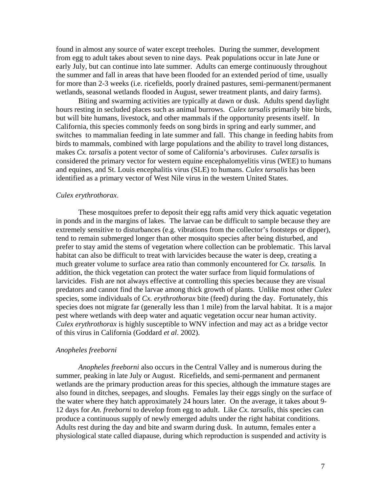found in almost any source of water except treeholes. During the summer, development from egg to adult takes about seven to nine days. Peak populations occur in late June or early July, but can continue into late summer. Adults can emerge continuously throughout the summer and fall in areas that have been flooded for an extended period of time, usually for more than 2-3 weeks (i.e. ricefields, poorly drained pastures, semi-permanent/permanent wetlands, seasonal wetlands flooded in August, sewer treatment plants, and dairy farms).

Biting and swarming activities are typically at dawn or dusk. Adults spend daylight hours resting in secluded places such as animal burrows. *Culex tarsalis* primarily bite birds, but will bite humans, livestock, and other mammals if the opportunity presents itself. In California, this species commonly feeds on song birds in spring and early summer, and switches to mammalian feeding in late summer and fall. This change in feeding habits from birds to mammals, combined with large populations and the ability to travel long distances, makes *Cx. tarsalis* a potent vector of some of California's arboviruses. *Culex tarsalis* is considered the primary vector for western equine encephalomyelitis virus (WEE) to humans and equines, and St. Louis encephalitis virus (SLE) to humans. *Culex tarsalis* has been identified as a primary vector of West Nile virus in the western United States.

#### *Culex erythrothorax*.

These mosquitoes prefer to deposit their egg rafts amid very thick aquatic vegetation in ponds and in the margins of lakes. The larvae can be difficult to sample because they are extremely sensitive to disturbances (e.g. vibrations from the collector's footsteps or dipper), tend to remain submerged longer than other mosquito species after being disturbed, and prefer to stay amid the stems of vegetation where collection can be problematic. This larval habitat can also be difficult to treat with larvicides because the water is deep, creating a much greater volume to surface area ratio than commonly encountered for *Cx. tarsalis.* In addition, the thick vegetation can protect the water surface from liquid formulations of larvicides. Fish are not always effective at controlling this species because they are visual predators and cannot find the larvae among thick growth of plants. Unlike most other *Culex*  species, some individuals of *Cx. erythrothorax* bite (feed) during the day. Fortunately, this species does not migrate far (generally less than 1 mile) from the larval habitat. It is a major pest where wetlands with deep water and aquatic vegetation occur near human activity. *Culex erythrothorax* is highly susceptible to WNV infection and may act as a bridge vector of this virus in California (Goddard *et al*. 2002).

#### *Anopheles freeborni*

 *Anopheles freeborni* also occurs in the Central Valley and is numerous during the summer, peaking in late July or August. Ricefields, and semi-permanent and permanent wetlands are the primary production areas for this species, although the immature stages are also found in ditches, seepages, and sloughs. Females lay their eggs singly on the surface of the water where they hatch approximately 24 hours later. On the average, it takes about 9- 12 days for *An. freeborni* to develop from egg to adult. Like *Cx. tarsalis*, this species can produce a continuous supply of newly emerged adults under the right habitat conditions. Adults rest during the day and bite and swarm during dusk. In autumn, females enter a physiological state called diapause, during which reproduction is suspended and activity is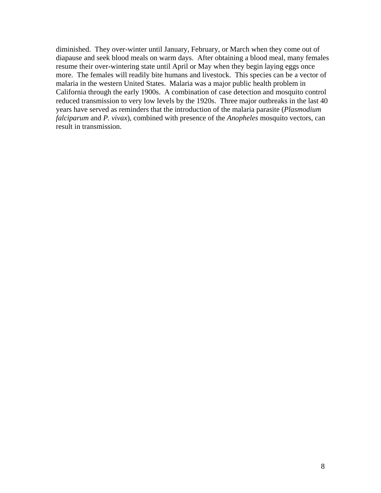diminished. They over-winter until January, February, or March when they come out of diapause and seek blood meals on warm days. After obtaining a blood meal, many females resume their over-wintering state until April or May when they begin laying eggs once more. The females will readily bite humans and livestock. This species can be a vector of malaria in the western United States. Malaria was a major public health problem in California through the early 1900s. A combination of case detection and mosquito control reduced transmission to very low levels by the 1920s. Three major outbreaks in the last 40 years have served as reminders that the introduction of the malaria parasite (*Plasmodium falciparum* and *P. vivax*), combined with presence of the *Anopheles* mosquito vectors, can result in transmission.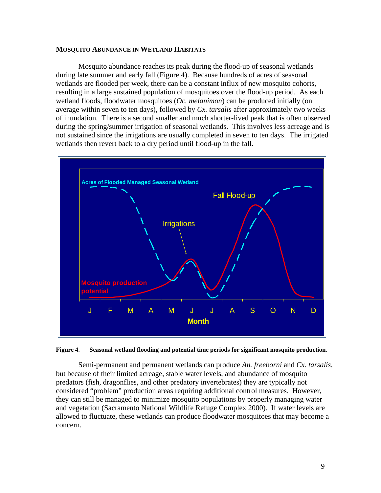#### **MOSQUITO ABUNDANCE IN WETLAND HABITATS**

Mosquito abundance reaches its peak during the flood-up of seasonal wetlands during late summer and early fall (Figure 4). Because hundreds of acres of seasonal wetlands are flooded per week, there can be a constant influx of new mosquito cohorts, resulting in a large sustained population of mosquitoes over the flood-up period. As each wetland floods, floodwater mosquitoes (*Oc. melanimon*) can be produced initially (on average within seven to ten days), followed by *Cx. tarsalis* after approximately two weeks of inundation. There is a second smaller and much shorter-lived peak that is often observed during the spring/summer irrigation of seasonal wetlands. This involves less acreage and is not sustained since the irrigations are usually completed in seven to ten days. The irrigated wetlands then revert back to a dry period until flood-up in the fall.



**Figure 4**. **Seasonal wetland flooding and potential time periods for significant mosquito production**.

Semi-permanent and permanent wetlands can produce *An. freeborni* and *Cx. tarsalis*, but because of their limited acreage, stable water levels, and abundance of mosquito predators (fish, dragonflies, and other predatory invertebrates) they are typically not considered "problem" production areas requiring additional control measures. However, they can still be managed to minimize mosquito populations by properly managing water and vegetation (Sacramento National Wildlife Refuge Complex 2000). If water levels are allowed to fluctuate, these wetlands can produce floodwater mosquitoes that may become a concern.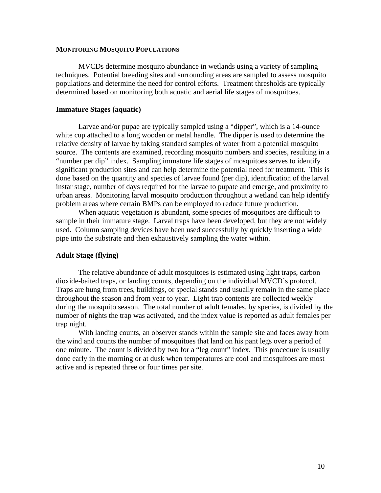#### **MONITORING MOSQUITO POPULATIONS**

MVCDs determine mosquito abundance in wetlands using a variety of sampling techniques. Potential breeding sites and surrounding areas are sampled to assess mosquito populations and determine the need for control efforts. Treatment thresholds are typically determined based on monitoring both aquatic and aerial life stages of mosquitoes.

#### **Immature Stages (aquatic)**

Larvae and/or pupae are typically sampled using a "dipper", which is a 14-ounce white cup attached to a long wooden or metal handle. The dipper is used to determine the relative density of larvae by taking standard samples of water from a potential mosquito source. The contents are examined, recording mosquito numbers and species, resulting in a "number per dip" index. Sampling immature life stages of mosquitoes serves to identify significant production sites and can help determine the potential need for treatment. This is done based on the quantity and species of larvae found (per dip), identification of the larval instar stage, number of days required for the larvae to pupate and emerge, and proximity to urban areas. Monitoring larval mosquito production throughout a wetland can help identify problem areas where certain BMPs can be employed to reduce future production.

When aquatic vegetation is abundant, some species of mosquitoes are difficult to sample in their immature stage. Larval traps have been developed, but they are not widely used. Column sampling devices have been used successfully by quickly inserting a wide pipe into the substrate and then exhaustively sampling the water within.

#### **Adult Stage (flying)**

The relative abundance of adult mosquitoes is estimated using light traps, carbon dioxide-baited traps, or landing counts, depending on the individual MVCD's protocol. Traps are hung from trees, buildings, or special stands and usually remain in the same place throughout the season and from year to year. Light trap contents are collected weekly during the mosquito season. The total number of adult females, by species, is divided by the number of nights the trap was activated, and the index value is reported as adult females per trap night.

With landing counts, an observer stands within the sample site and faces away from the wind and counts the number of mosquitoes that land on his pant legs over a period of one minute. The count is divided by two for a "leg count" index. This procedure is usually done early in the morning or at dusk when temperatures are cool and mosquitoes are most active and is repeated three or four times per site.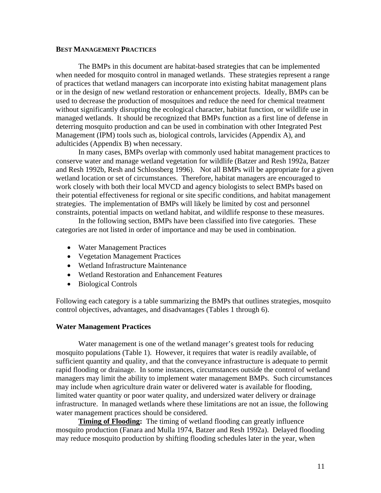### **BEST MANAGEMENT PRACTICES**

The BMPs in this document are habitat-based strategies that can be implemented when needed for mosquito control in managed wetlands. These strategies represent a range of practices that wetland managers can incorporate into existing habitat management plans or in the design of new wetland restoration or enhancement projects. Ideally, BMPs can be used to decrease the production of mosquitoes and reduce the need for chemical treatment without significantly disrupting the ecological character, habitat function, or wildlife use in managed wetlands. It should be recognized that BMPs function as a first line of defense in deterring mosquito production and can be used in combination with other Integrated Pest Management (IPM) tools such as, biological controls, larvicides (Appendix A), and adulticides (Appendix B) when necessary.

In many cases, BMPs overlap with commonly used habitat management practices to conserve water and manage wetland vegetation for wildlife (Batzer and Resh 1992a, Batzer and Resh 1992b, Resh and Schlossberg 1996). Not all BMPs will be appropriate for a given wetland location or set of circumstances. Therefore, habitat managers are encouraged to work closely with both their local MVCD and agency biologists to select BMPs based on their potential effectiveness for regional or site specific conditions, and habitat management strategies. The implementation of BMPs will likely be limited by cost and personnel constraints, potential impacts on wetland habitat, and wildlife response to these measures.

In the following section, BMPs have been classified into five categories. These categories are not listed in order of importance and may be used in combination.

- Water Management Practices
- Vegetation Management Practices
- Wetland Infrastructure Maintenance
- Wetland Restoration and Enhancement Features
- Biological Controls

Following each category is a table summarizing the BMPs that outlines strategies, mosquito control objectives, advantages, and disadvantages (Tables 1 through 6).

### **Water Management Practices**

Water management is one of the wetland manager's greatest tools for reducing mosquito populations (Table 1). However, it requires that water is readily available, of sufficient quantity and quality, and that the conveyance infrastructure is adequate to permit rapid flooding or drainage. In some instances, circumstances outside the control of wetland managers may limit the ability to implement water management BMPs. Such circumstances may include when agriculture drain water or delivered water is available for flooding, limited water quantity or poor water quality, and undersized water delivery or drainage infrastructure. In managed wetlands where these limitations are not an issue, the following water management practices should be considered.

**Timing of Flooding:** The timing of wetland flooding can greatly influence mosquito production (Fanara and Mulla 1974, Batzer and Resh 1992a). Delayed flooding may reduce mosquito production by shifting flooding schedules later in the year, when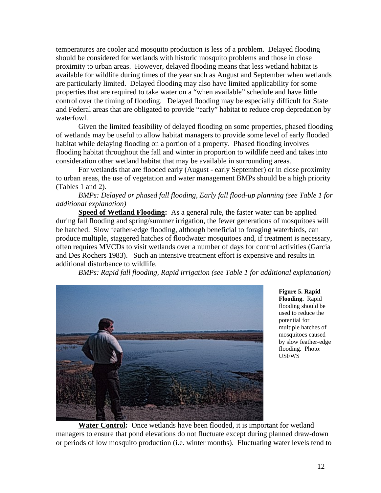temperatures are cooler and mosquito production is less of a problem. Delayed flooding should be considered for wetlands with historic mosquito problems and those in close proximity to urban areas. However, delayed flooding means that less wetland habitat is available for wildlife during times of the year such as August and September when wetlands are particularly limited. Delayed flooding may also have limited applicability for some properties that are required to take water on a "when available" schedule and have little control over the timing of flooding. Delayed flooding may be especially difficult for State and Federal areas that are obligated to provide "early" habitat to reduce crop depredation by waterfowl.

Given the limited feasibility of delayed flooding on some properties, phased flooding of wetlands may be useful to allow habitat managers to provide some level of early flooded habitat while delaying flooding on a portion of a property. Phased flooding involves flooding habitat throughout the fall and winter in proportion to wildlife need and takes into consideration other wetland habitat that may be available in surrounding areas.

For wetlands that are flooded early (August - early September) or in close proximity to urban areas, the use of vegetation and water management BMPs should be a high priority (Tables 1 and 2).

*BMPs: Delayed or phased fall flooding, Early fall flood-up planning (see Table 1 for additional explanation)* 

**Speed of Wetland Flooding:** As a general rule, the faster water can be applied during fall flooding and spring/summer irrigation, the fewer generations of mosquitoes will be hatched. Slow feather-edge flooding, although beneficial to foraging waterbirds, can produce multiple, staggered hatches of floodwater mosquitoes and, if treatment is necessary, often requires MVCDs to visit wetlands over a number of days for control activities (Garcia and Des Rochers 1983). Such an intensive treatment effort is expensive and results in additional disturbance to wildlife.

*BMPs: Rapid fall flooding, Rapid irrigation (see Table 1 for additional explanation)*



**Figure 5. Rapid Flooding.** Rapid flooding should be used to reduce the potential for multiple hatches of mosquitoes caused by slow feather-edge flooding. Photo: USFWS

**Water Control:** Once wetlands have been flooded, it is important for wetland managers to ensure that pond elevations do not fluctuate except during planned draw-down or periods of low mosquito production (i.e. winter months). Fluctuating water levels tend to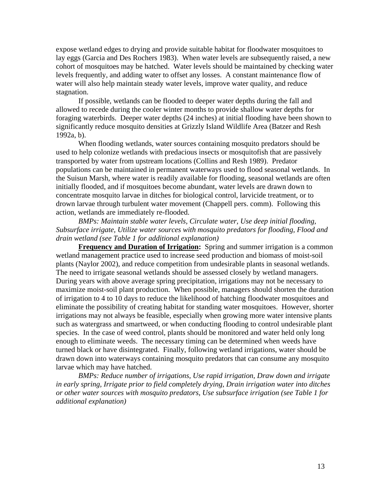expose wetland edges to drying and provide suitable habitat for floodwater mosquitoes to lay eggs (Garcia and Des Rochers 1983). When water levels are subsequently raised, a new cohort of mosquitoes may be hatched. Water levels should be maintained by checking water levels frequently, and adding water to offset any losses. A constant maintenance flow of water will also help maintain steady water levels, improve water quality, and reduce stagnation.

If possible, wetlands can be flooded to deeper water depths during the fall and allowed to recede during the cooler winter months to provide shallow water depths for foraging waterbirds. Deeper water depths (24 inches) at initial flooding have been shown to significantly reduce mosquito densities at Grizzly Island Wildlife Area (Batzer and Resh 1992a, b).

When flooding wetlands, water sources containing mosquito predators should be used to help colonize wetlands with predacious insects or mosquitofish that are passively transported by water from upstream locations (Collins and Resh 1989). Predator populations can be maintained in permanent waterways used to flood seasonal wetlands. In the Suisun Marsh, where water is readily available for flooding, seasonal wetlands are often initially flooded, and if mosquitoes become abundant, water levels are drawn down to concentrate mosquito larvae in ditches for biological control, larvicide treatment, or to drown larvae through turbulent water movement (Chappell pers. comm). Following this action, wetlands are immediately re-flooded.

*BMPs: Maintain stable water levels, Circulate water, Use deep initial flooding, Subsurface irrigate, Utilize water sources with mosquito predators for flooding, Flood and drain wetland (see Table 1 for additional explanation)*

**Frequency and Duration of Irrigation:** Spring and summer irrigation is a common wetland management practice used to increase seed production and biomass of moist-soil plants (Naylor 2002), and reduce competition from undesirable plants in seasonal wetlands. The need to irrigate seasonal wetlands should be assessed closely by wetland managers. During years with above average spring precipitation, irrigations may not be necessary to maximize moist-soil plant production. When possible, managers should shorten the duration of irrigation to 4 to 10 days to reduce the likelihood of hatching floodwater mosquitoes and eliminate the possibility of creating habitat for standing water mosquitoes. However, shorter irrigations may not always be feasible, especially when growing more water intensive plants such as watergrass and smartweed, or when conducting flooding to control undesirable plant species. In the case of weed control, plants should be monitored and water held only long enough to eliminate weeds. The necessary timing can be determined when weeds have turned black or have disintegrated. Finally, following wetland irrigations, water should be drawn down into waterways containing mosquito predators that can consume any mosquito larvae which may have hatched.

*BMPs: Reduce number of irrigations, Use rapid irrigation, Draw down and irrigate in early spring, Irrigate prior to field completely drying, Drain irrigation water into ditches or other water sources with mosquito predators, Use subsurface irrigation (see Table 1 for additional explanation)*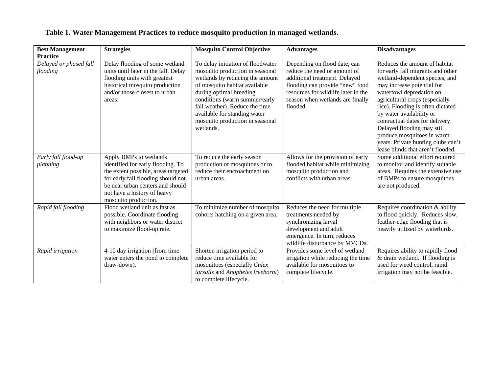| <b>Best Management</b><br><b>Practice</b> | <b>Strategies</b>                                                                                                                                                                                                                   | <b>Mosquito Control Objective</b>                                                                                                                                                                                                                                                                                      | <b>Advantages</b>                                                                                                                                                                                                       | <b>Disadvantages</b>                                                                                                                                                                                                                                                                                                                                                                                                                        |
|-------------------------------------------|-------------------------------------------------------------------------------------------------------------------------------------------------------------------------------------------------------------------------------------|------------------------------------------------------------------------------------------------------------------------------------------------------------------------------------------------------------------------------------------------------------------------------------------------------------------------|-------------------------------------------------------------------------------------------------------------------------------------------------------------------------------------------------------------------------|---------------------------------------------------------------------------------------------------------------------------------------------------------------------------------------------------------------------------------------------------------------------------------------------------------------------------------------------------------------------------------------------------------------------------------------------|
| Delayed or phased fall<br>flooding        | Delay flooding of some wetland<br>units until later in the fall. Delay<br>flooding units with greatest<br>historical mosquito production<br>and/or those closest to urban<br>areas.                                                 | To delay initiation of floodwater<br>mosquito production in seasonal<br>wetlands by reducing the amount<br>of mosquito habitat available<br>during optimal breeding<br>conditions (warm summer/early<br>fall weather). Reduce the time<br>available for standing water<br>mosquito production in seasonal<br>wetlands. | Depending on flood date, can<br>reduce the need or amount of<br>additional treatment. Delayed<br>flooding can provide "new" food<br>resources for wildlife later in the<br>season when wetlands are finally<br>flooded. | Reduces the amount of habitat<br>for early fall migrants and other<br>wetland-dependent species, and<br>may increase potential for<br>waterfowl depredation on<br>agricultural crops (especially<br>rice). Flooding is often dictated<br>by water availability or<br>contractual dates for delivery.<br>Delayed flooding may still<br>produce mosquitoes in warm<br>years. Private hunting clubs can't<br>lease blinds that aren't flooded. |
| Early fall flood-up<br>planning           | Apply BMPs to wetlands<br>identified for early flooding. To<br>the extent possible, areas targeted<br>for early fall flooding should not<br>be near urban centers and should<br>not have a history of heavy<br>mosquito production. | To reduce the early season<br>production of mosquitoes or to<br>reduce their encroachment on<br>urban areas.                                                                                                                                                                                                           | Allows for the provision of early<br>flooded habitat while minimizing<br>mosquito production and<br>conflicts with urban areas.                                                                                         | Some additional effort required<br>to monitor and identify suitable<br>areas. Requires the extensive use<br>of BMPs to ensure mosquitoes<br>are not produced.                                                                                                                                                                                                                                                                               |
| Rapid fall flooding                       | Flood wetland unit as fast as<br>possible. Coordinate flooding<br>with neighbors or water district<br>to maximize flood-up rate.                                                                                                    | To minimize number of mosquito<br>cohorts hatching on a given area.                                                                                                                                                                                                                                                    | Reduces the need for multiple<br>treatments needed by<br>synchronizing larval<br>development and adult<br>emergence. In turn, reduces<br>wildlife disturbance by MVCDs.                                                 | Requires coordination & ability<br>to flood quickly. Reduces slow,<br>feather-edge flooding that is<br>heavily utilized by waterbirds.                                                                                                                                                                                                                                                                                                      |
| Rapid irrigation                          | 4-10 day irrigation (from time<br>water enters the pond to complete<br>draw-down).                                                                                                                                                  | Shorten irrigation period to<br>reduce time available for<br>mosquitoes (especially Culex<br>tarsalis and Anopheles freeborni)<br>to complete lifecycle.                                                                                                                                                               | Provides some level of wetland<br>irrigation while reducing the time<br>available for mosquitoes to<br>complete lifecycle.                                                                                              | Requires ability to rapidly flood<br>& drain wetland. If flooding is<br>used for weed control, rapid<br>irrigation may not be feasible.                                                                                                                                                                                                                                                                                                     |

## **Table 1. Water Management Practices to reduce mosquito production in managed wetlands**.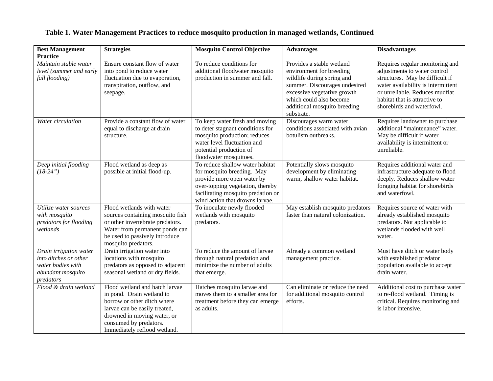| <b>Best Management</b><br><b>Practice</b>                                                              | <b>Strategies</b>                                                                                                                                                                                                    | <b>Mosquito Control Objective</b>                                                                                                                                                                        | <b>Advantages</b>                                                                                                                                                                                                            | <b>Disadvantages</b>                                                                                                                                                                                                                     |
|--------------------------------------------------------------------------------------------------------|----------------------------------------------------------------------------------------------------------------------------------------------------------------------------------------------------------------------|----------------------------------------------------------------------------------------------------------------------------------------------------------------------------------------------------------|------------------------------------------------------------------------------------------------------------------------------------------------------------------------------------------------------------------------------|------------------------------------------------------------------------------------------------------------------------------------------------------------------------------------------------------------------------------------------|
| Maintain stable water<br>level (summer and early<br>fall flooding)                                     | Ensure constant flow of water<br>into pond to reduce water<br>fluctuation due to evaporation,<br>transpiration, outflow, and<br>seepage.                                                                             | To reduce conditions for<br>additional floodwater mosquito<br>production in summer and fall.                                                                                                             | Provides a stable wetland<br>environment for breeding<br>wildlife during spring and<br>summer. Discourages undesired<br>excessive vegetative growth<br>which could also become<br>additional mosquito breeding<br>substrate. | Requires regular monitoring and<br>adjustments to water control<br>structures. May be difficult if<br>water availability is intermittent<br>or unreliable. Reduces mudflat<br>habitat that is attractive to<br>shorebirds and waterfowl. |
| Water circulation                                                                                      | Provide a constant flow of water<br>equal to discharge at drain<br>structure.                                                                                                                                        | To keep water fresh and moving<br>to deter stagnant conditions for<br>mosquito production; reduces<br>water level fluctuation and<br>potential production of<br>floodwater mosquitoes.                   | Discourages warm water<br>conditions associated with avian<br>botulism outbreaks.                                                                                                                                            | Requires landowner to purchase<br>additional "maintenance" water.<br>May be difficult if water<br>availability is intermittent or<br>unreliable.                                                                                         |
| Deep initial flooding<br>$(18-24")$                                                                    | Flood wetland as deep as<br>possible at initial flood-up.                                                                                                                                                            | To reduce shallow water habitat<br>for mosquito breeding. May<br>provide more open water by<br>over-topping vegetation, thereby<br>facilitating mosquito predation or<br>wind action that drowns larvae. | Potentially slows mosquito<br>development by eliminating<br>warm, shallow water habitat.                                                                                                                                     | Requires additional water and<br>infrastructure adequate to flood<br>deeply. Reduces shallow water<br>foraging habitat for shorebirds<br>and waterfowl.                                                                                  |
| Utilize water sources<br>with mosquito<br>predators for flooding<br>wetlands                           | Flood wetlands with water<br>sources containing mosquito fish<br>or other invertebrate predators.<br>Water from permanent ponds can<br>be used to passively introduce<br>mosquito predators.                         | To inoculate newly flooded<br>wetlands with mosquito<br>predators.                                                                                                                                       | May establish mosquito predators<br>faster than natural colonization.                                                                                                                                                        | Requires source of water with<br>already established mosquito<br>predators. Not applicable to<br>wetlands flooded with well<br>water.                                                                                                    |
| Drain irrigation water<br>into ditches or other<br>water bodies with<br>abundant mosquito<br>predators | Drain irrigation water into<br>locations with mosquito<br>predators as opposed to adjacent<br>seasonal wetland or dry fields.                                                                                        | To reduce the amount of larvae<br>through natural predation and<br>minimize the number of adults<br>that emerge.                                                                                         | Already a common wetland<br>management practice.                                                                                                                                                                             | Must have ditch or water body<br>with established predator<br>population available to accept<br>drain water.                                                                                                                             |
| Flood & drain wetland                                                                                  | Flood wetland and hatch larvae<br>in pond. Drain wetland to<br>borrow or other ditch where<br>larvae can be easily treated,<br>drowned in moving water, or<br>consumed by predators.<br>Immediately reflood wetland. | Hatches mosquito larvae and<br>moves them to a smaller area for<br>treatment before they can emerge<br>as adults.                                                                                        | Can eliminate or reduce the need<br>for additional mosquito control<br>efforts.                                                                                                                                              | Additional cost to purchase water<br>to re-flood wetland. Timing is<br>critical. Requires monitoring and<br>is labor intensive.                                                                                                          |

# **Table 1. Water Management Practices to reduce mosquito production in managed wetlands, Continued**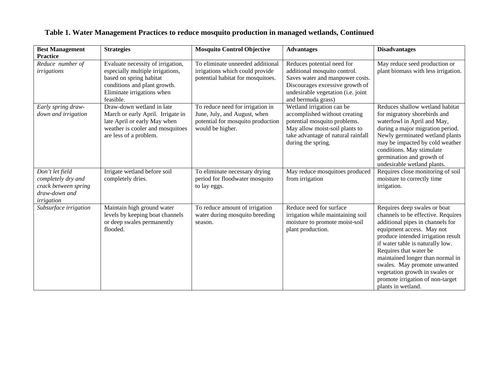| <b>Best Management</b><br><b>Practice</b>                                                    | <b>Strategies</b>                                                                                                                                                           | <b>Mosquito Control Objective</b>                                                                                         | <b>Advantages</b>                                                                                                                                                                            | <b>Disadvantages</b>                                                                                                                                                                                                                                                                                                                                                                                    |
|----------------------------------------------------------------------------------------------|-----------------------------------------------------------------------------------------------------------------------------------------------------------------------------|---------------------------------------------------------------------------------------------------------------------------|----------------------------------------------------------------------------------------------------------------------------------------------------------------------------------------------|---------------------------------------------------------------------------------------------------------------------------------------------------------------------------------------------------------------------------------------------------------------------------------------------------------------------------------------------------------------------------------------------------------|
| Reduce number of<br>irrigations                                                              | Evaluate necessity of irrigation,<br>especially multiple irrigations,<br>based on spring habitat<br>conditions and plant growth.<br>Eliminate irrigations when<br>feasible. | To eliminate unneeded additional<br>irrigations which could provide<br>potential habitat for mosquitoes.                  | Reduces potential need for<br>additional mosquito control.<br>Saves water and manpower costs.<br>Discourages excessive growth of<br>undesirable vegetation (i.e. joint<br>and bermuda grass) | May reduce seed production or<br>plant biomass with less irrigation.                                                                                                                                                                                                                                                                                                                                    |
| Early spring draw-<br>down and irrigation                                                    | Draw-down wetland in late<br>March or early April. Irrigate in<br>late April or early May when<br>weather is cooler and mosquitoes<br>are less of a problem.                | To reduce need for irrigation in<br>June, July, and August, when<br>potential for mosquito production<br>would be higher. | Wetland irrigation can be<br>accomplished without creating<br>potential mosquito problems.<br>May allow moist-soil plants to<br>take advantage of natural rainfall<br>during the spring.     | Reduces shallow wetland habitat<br>for migratory shorebirds and<br>waterfowl in April and May,<br>during a major migration period.<br>Newly germinated wetland plants<br>may be impacted by cold weather<br>conditions. May stimulate<br>germination and growth of<br>undesirable wetland plants.                                                                                                       |
| Don't let field<br>completely dry and<br>crack between spring<br>draw-down and<br>irrigation | Irrigate wetland before soil<br>completely dries.                                                                                                                           | To eliminate necessary drying<br>period for floodwater mosquito<br>to lay eggs.                                           | May reduce mosquitoes produced<br>from irrigation                                                                                                                                            | Requires close monitoring of soil<br>moisture to correctly time<br>irrigation.                                                                                                                                                                                                                                                                                                                          |
| Subsurface irrigation                                                                        | Maintain high ground water<br>levels by keeping boat channels<br>or deep swales permanently<br>flooded.                                                                     | To reduce amount of irrigation<br>water during mosquito breeding<br>season.                                               | Reduce need for surface<br>irrigation while maintaining soil<br>moisture to promote moist-soil<br>plant production.                                                                          | Requires deep swales or boat<br>channels to be effective. Requires<br>additional pipes in channels for<br>equipment access. May not<br>produce intended irrigation result<br>if water table is naturally low.<br>Requires that water be<br>maintained longer than normal in<br>swales. May promote unwanted<br>vegetation growth in swales or<br>promote irrigation of non-target<br>plants in wetland. |

# **Table 1. Water Management Practices to reduce mosquito production in managed wetlands, Continued**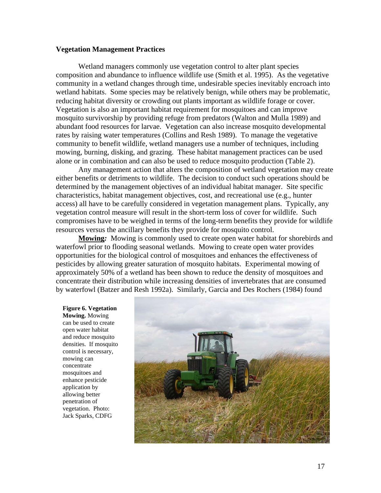#### **Vegetation Management Practices**

Wetland managers commonly use vegetation control to alter plant species composition and abundance to influence wildlife use (Smith et al. 1995). As the vegetative community in a wetland changes through time, undesirable species inevitably encroach into wetland habitats. Some species may be relatively benign, while others may be problematic, reducing habitat diversity or crowding out plants important as wildlife forage or cover. Vegetation is also an important habitat requirement for mosquitoes and can improve mosquito survivorship by providing refuge from predators (Walton and Mulla 1989) and abundant food resources for larvae. Vegetation can also increase mosquito developmental rates by raising water temperatures (Collins and Resh 1989). To manage the vegetative community to benefit wildlife, wetland managers use a number of techniques, including mowing, burning, disking, and grazing. These habitat management practices can be used alone or in combination and can also be used to reduce mosquito production (Table 2).

Any management action that alters the composition of wetland vegetation may create either benefits or detriments to wildlife. The decision to conduct such operations should be determined by the management objectives of an individual habitat manager. Site specific characteristics, habitat management objectives, cost, and recreational use (e.g., hunter access) all have to be carefully considered in vegetation management plans. Typically, any vegetation control measure will result in the short-term loss of cover for wildlife. Such compromises have to be weighed in terms of the long-term benefits they provide for wildlife resources versus the ancillary benefits they provide for mosquito control.

**Mowing***:* Mowing is commonly used to create open water habitat for shorebirds and waterfowl prior to flooding seasonal wetlands. Mowing to create open water provides opportunities for the biological control of mosquitoes and enhances the effectiveness of pesticides by allowing greater saturation of mosquito habitats. Experimental mowing of approximately 50% of a wetland has been shown to reduce the density of mosquitoes and concentrate their distribution while increasing densities of invertebrates that are consumed by waterfowl (Batzer and Resh 1992a). Similarly, Garcia and Des Rochers (1984) found

**Figure 6. Vegetation Mowing.** Mowing can be used to create open water habitat and reduce mosquito densities. If mosquito control is necessary, mowing can concentrate mosquitoes and enhance pesticide application by allowing better penetration of vegetation. Photo: Jack Sparks, CDFG

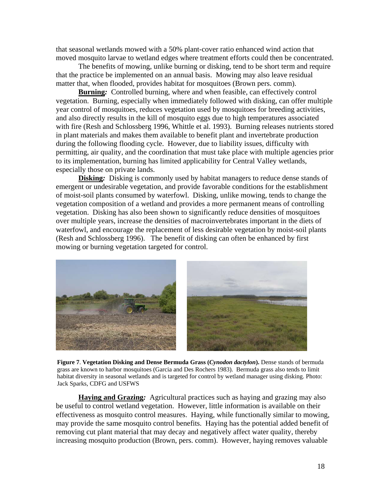that seasonal wetlands mowed with a 50% plant-cover ratio enhanced wind action that moved mosquito larvae to wetland edges where treatment efforts could then be concentrated.

The benefits of mowing, unlike burning or disking, tend to be short term and require that the practice be implemented on an annual basis. Mowing may also leave residual matter that, when flooded, provides habitat for mosquitoes (Brown pers. comm).

**Burning***:* Controlled burning, where and when feasible, can effectively control vegetation. Burning, especially when immediately followed with disking, can offer multiple year control of mosquitoes, reduces vegetation used by mosquitoes for breeding activities, and also directly results in the kill of mosquito eggs due to high temperatures associated with fire (Resh and Schlossberg 1996, Whittle et al. 1993). Burning releases nutrients stored in plant materials and makes them available to benefit plant and invertebrate production during the following flooding cycle. However, due to liability issues, difficulty with permitting, air quality, and the coordination that must take place with multiple agencies prior to its implementation, burning has limited applicability for Central Valley wetlands, especially those on private lands.

**Disking:** Disking is commonly used by habitat managers to reduce dense stands of emergent or undesirable vegetation, and provide favorable conditions for the establishment of moist-soil plants consumed by waterfowl. Disking, unlike mowing, tends to change the vegetation composition of a wetland and provides a more permanent means of controlling vegetation. Disking has also been shown to significantly reduce densities of mosquitoes over multiple years, increase the densities of macroinvertebrates important in the diets of waterfowl, and encourage the replacement of less desirable vegetation by moist-soil plants (Resh and Schlossberg 1996). The benefit of disking can often be enhanced by first mowing or burning vegetation targeted for control.



 $\overline{a}$  Jack Sparks, CDFG and USFWS **Figure 7**. **Vegetation Disking and Dense Bermuda Grass (***Cynodon dactylon***).** Dense stands of bermuda grass are known to harbor mosquitoes (Garcia and Des Rochers 1983). Bermuda grass also tends to limit habitat diversity in seasonal wetlands and is targeted for control by wetland manager using disking. Photo:

**Haying and Grazing***:* Agricultural practices such as haying and grazing may also be useful to control wetland vegetation. However, little information is available on their effectiveness as mosquito control measures. Haying, while functionally similar to mowing, may provide the same mosquito control benefits. Haying has the potential added benefit of removing cut plant material that may decay and negatively affect water quality, thereby increasing mosquito production (Brown, pers. comm). However, haying removes valuable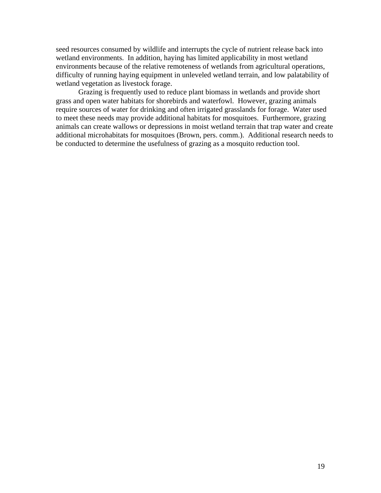seed resources consumed by wildlife and interrupts the cycle of nutrient release back into wetland environments. In addition, haying has limited applicability in most wetland environments because of the relative remoteness of wetlands from agricultural operations, difficulty of running haying equipment in unleveled wetland terrain, and low palatability of wetland vegetation as livestock forage.

Grazing is frequently used to reduce plant biomass in wetlands and provide short grass and open water habitats for shorebirds and waterfowl. However, grazing animals require sources of water for drinking and often irrigated grasslands for forage. Water used to meet these needs may provide additional habitats for mosquitoes. Furthermore, grazing animals can create wallows or depressions in moist wetland terrain that trap water and create additional microhabitats for mosquitoes (Brown, pers. comm.). Additional research needs to be conducted to determine the usefulness of grazing as a mosquito reduction tool.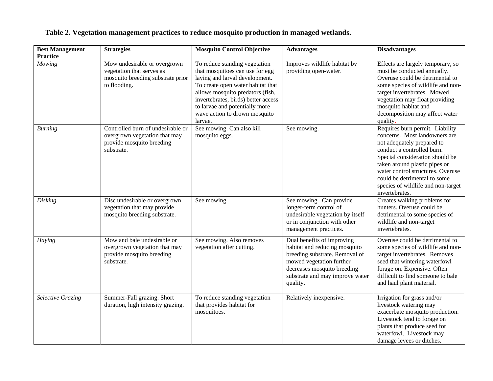| <b>Best Management</b><br><b>Practice</b> | <b>Strategies</b>                                                                                              | <b>Mosquito Control Objective</b>                                                                                                                                                                                                                                                                | <b>Advantages</b>                                                                                                                                                                                       | <b>Disadvantages</b>                                                                                                                                                                                                                                                                                                          |
|-------------------------------------------|----------------------------------------------------------------------------------------------------------------|--------------------------------------------------------------------------------------------------------------------------------------------------------------------------------------------------------------------------------------------------------------------------------------------------|---------------------------------------------------------------------------------------------------------------------------------------------------------------------------------------------------------|-------------------------------------------------------------------------------------------------------------------------------------------------------------------------------------------------------------------------------------------------------------------------------------------------------------------------------|
| Mowing                                    | Mow undesirable or overgrown<br>vegetation that serves as<br>mosquito breeding substrate prior<br>to flooding. | To reduce standing vegetation<br>that mosquitoes can use for egg<br>laying and larval development.<br>To create open water habitat that<br>allows mosquito predators (fish,<br>invertebrates, birds) better access<br>to larvae and potentially more<br>wave action to drown mosquito<br>larvae. | Improves wildlife habitat by<br>providing open-water.                                                                                                                                                   | Effects are largely temporary, so<br>must be conducted annually.<br>Overuse could be detrimental to<br>some species of wildlife and non-<br>target invertebrates. Mowed<br>vegetation may float providing<br>mosquito habitat and<br>decomposition may affect water<br>quality.                                               |
| <b>Burning</b>                            | Controlled burn of undesirable or<br>overgrown vegetation that may<br>provide mosquito breeding<br>substrate.  | See mowing. Can also kill<br>mosquito eggs.                                                                                                                                                                                                                                                      | See mowing.                                                                                                                                                                                             | Requires burn permit. Liability<br>concerns. Most landowners are<br>not adequately prepared to<br>conduct a controlled burn.<br>Special consideration should be<br>taken around plastic pipes or<br>water control structures. Overuse<br>could be detrimental to some<br>species of wildlife and non-target<br>invertebrates. |
| Disking                                   | Disc undesirable or overgrown<br>vegetation that may provide<br>mosquito breeding substrate.                   | See mowing.                                                                                                                                                                                                                                                                                      | See mowing. Can provide<br>longer-term control of<br>undesirable vegetation by itself<br>or in conjunction with other<br>management practices.                                                          | Creates walking problems for<br>hunters. Overuse could be<br>detrimental to some species of<br>wildlife and non-target<br>invertebrates.                                                                                                                                                                                      |
| Haying                                    | Mow and bale undesirable or<br>overgrown vegetation that may<br>provide mosquito breeding<br>substrate.        | See mowing. Also removes<br>vegetation after cutting.                                                                                                                                                                                                                                            | Dual benefits of improving<br>habitat and reducing mosquito<br>breeding substrate. Removal of<br>mowed vegetation further<br>decreases mosquito breeding<br>substrate and may improve water<br>quality. | Overuse could be detrimental to<br>some species of wildlife and non-<br>target invertebrates. Removes<br>seed that wintering waterfowl<br>forage on. Expensive. Often<br>difficult to find someone to bale<br>and haul plant material.                                                                                        |
| <b>Selective Grazing</b>                  | Summer-Fall grazing. Short<br>duration, high intensity grazing.                                                | To reduce standing vegetation<br>that provides habitat for<br>mosquitoes.                                                                                                                                                                                                                        | Relatively inexpensive.                                                                                                                                                                                 | Irrigation for grass and/or<br>livestock watering may<br>exacerbate mosquito production.<br>Livestock tend to forage on<br>plants that produce seed for<br>waterfowl. Livestock may<br>damage levees or ditches.                                                                                                              |

## **Table 2. Vegetation management practices to reduce mosquito production in managed wetlands.**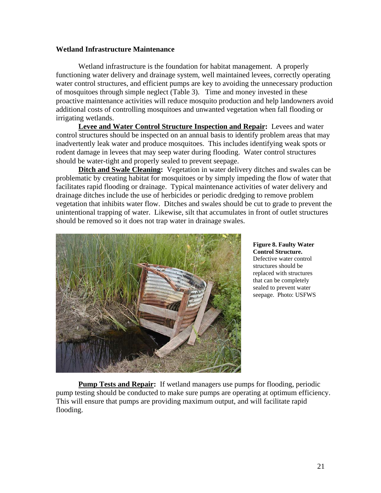### **Wetland Infrastructure Maintenance**

Wetland infrastructure is the foundation for habitat management. A properly functioning water delivery and drainage system, well maintained levees, correctly operating water control structures, and efficient pumps are key to avoiding the unnecessary production of mosquitoes through simple neglect (Table 3). Time and money invested in these proactive maintenance activities will reduce mosquito production and help landowners avoid additional costs of controlling mosquitoes and unwanted vegetation when fall flooding or irrigating wetlands.

**Levee and Water Control Structure Inspection and Repair:** Levees and water control structures should be inspected on an annual basis to identify problem areas that may inadvertently leak water and produce mosquitoes. This includes identifying weak spots or rodent damage in levees that may seep water during flooding. Water control structures should be water-tight and properly sealed to prevent seepage.

**Ditch and Swale Cleaning:** Vegetation in water delivery ditches and swales can be problematic by creating habitat for mosquitoes or by simply impeding the flow of water that facilitates rapid flooding or drainage. Typical maintenance activities of water delivery and drainage ditches include the use of herbicides or periodic dredging to remove problem vegetation that inhibits water flow. Ditches and swales should be cut to grade to prevent the unintentional trapping of water. Likewise, silt that accumulates in front of outlet structures should be removed so it does not trap water in drainage swales.



#### **Figure 8. Faulty Water Control Structure.**  Defective water control structures should be replaced with structures that can be completely sealed to prevent water seepage. Photo: USFWS

**Pump Tests and Repair:** If wetland managers use pumps for flooding, periodic pump testing should be conducted to make sure pumps are operating at optimum efficiency. This will ensure that pumps are providing maximum output, and will facilitate rapid flooding.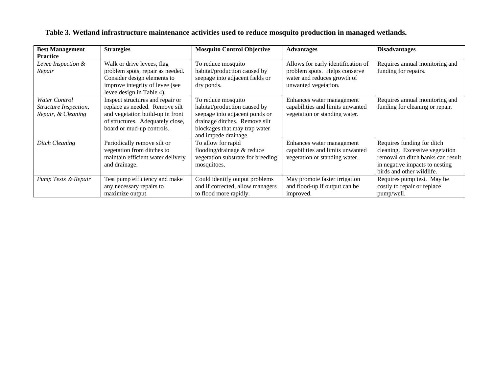| <b>Best Management</b><br><b>Practice</b>                           | <b>Strategies</b>                                                                                                                                                       | <b>Mosquito Control Objective</b>                                                                                                                                              | <b>Advantages</b>                                                                                                          | <b>Disadvantages</b>                                                                                                                                             |
|---------------------------------------------------------------------|-------------------------------------------------------------------------------------------------------------------------------------------------------------------------|--------------------------------------------------------------------------------------------------------------------------------------------------------------------------------|----------------------------------------------------------------------------------------------------------------------------|------------------------------------------------------------------------------------------------------------------------------------------------------------------|
| Levee Inspection &<br>Repair                                        | Walk or drive levees, flag<br>problem spots, repair as needed.<br>Consider design elements to<br>improve integrity of levee (see<br>levee design in Table 4).           | To reduce mosquito<br>habitat/production caused by<br>seepage into adjacent fields or<br>dry ponds.                                                                            | Allows for early identification of<br>problem spots. Helps conserve<br>water and reduces growth of<br>unwanted vegetation. | Requires annual monitoring and<br>funding for repairs.                                                                                                           |
| <b>Water Control</b><br>Structure Inspection,<br>Repair, & Cleaning | Inspect structures and repair or<br>replace as needed. Remove silt<br>and vegetation build-up in front<br>of structures. Adequately close,<br>board or mud-up controls. | To reduce mosquito<br>habitat/production caused by<br>seepage into adjacent ponds or<br>drainage ditches. Remove silt<br>blockages that may trap water<br>and impede drainage. | Enhances water management<br>capabilities and limits unwanted<br>vegetation or standing water.                             | Requires annual monitoring and<br>funding for cleaning or repair.                                                                                                |
| <b>Ditch Cleaning</b>                                               | Periodically remove silt or<br>vegetation from ditches to<br>maintain efficient water delivery<br>and drainage.                                                         | To allow for rapid<br>flooding/drainage & reduce<br>vegetation substrate for breeding<br>mosquitoes.                                                                           | Enhances water management<br>capabilities and limits unwanted<br>vegetation or standing water.                             | Requires funding for ditch<br>cleaning. Excessive vegetation<br>removal on ditch banks can result<br>in negative impacts to nesting<br>birds and other wildlife. |
| Pump Tests & Repair                                                 | Test pump efficiency and make<br>any necessary repairs to<br>maximize output.                                                                                           | Could identify output problems<br>and if corrected, allow managers<br>to flood more rapidly.                                                                                   | May promote faster irrigation<br>and flood-up if output can be<br>improved.                                                | Requires pump test. May be<br>costly to repair or replace<br>pump/well.                                                                                          |

## **Table 3. Wetland infrastructure maintenance activities used to reduce mosquito production in managed wetlands.**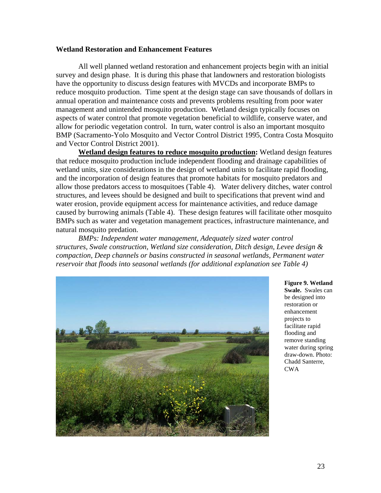### **Wetland Restoration and Enhancement Features**

All well planned wetland restoration and enhancement projects begin with an initial survey and design phase. It is during this phase that landowners and restoration biologists have the opportunity to discuss design features with MVCDs and incorporate BMPs to reduce mosquito production. Time spent at the design stage can save thousands of dollars in annual operation and maintenance costs and prevents problems resulting from poor water management and unintended mosquito production. Wetland design typically focuses on aspects of water control that promote vegetation beneficial to wildlife, conserve water, and allow for periodic vegetation control. In turn, water control is also an important mosquito BMP (Sacramento-Yolo Mosquito and Vector Control District 1995, Contra Costa Mosquito and Vector Control District 2001).

**Wetland design features to reduce mosquito production:** Wetland design features that reduce mosquito production include independent flooding and drainage capabilities of wetland units, size considerations in the design of wetland units to facilitate rapid flooding, and the incorporation of design features that promote habitats for mosquito predators and allow those predators access to mosquitoes (Table 4). Water delivery ditches, water control structures, and levees should be designed and built to specifications that prevent wind and water erosion, provide equipment access for maintenance activities, and reduce damage caused by burrowing animals (Table 4). These design features will facilitate other mosquito BMPs such as water and vegetation management practices, infrastructure maintenance, and natural mosquito predation.

*BMPs: Independent water management, Adequately sized water control structures, Swale construction, Wetland size consideration, Ditch design, Levee design & compaction, Deep channels or basins constructed in seasonal wetlands, Permanent water reservoir that floods into seasonal wetlands (for additional explanation see Table 4)* 



**Figure 9. Wetland Swale.** Swales can be designed into restoration or enhancement projects to facilitate rapid flooding and remove standing water during spring draw-down. Photo: Chadd Santerre, CWA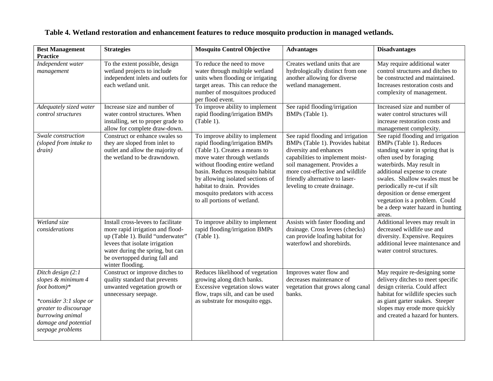| <b>Best Management</b><br><b>Practice</b>                                                                                                                                      | <b>Strategies</b>                                                                                                                                                                                                                     | <b>Mosquito Control Objective</b>                                                                                                                                                                                                                                                                                                          | <b>Advantages</b>                                                                                                                                                                                                                                                        | <b>Disadvantages</b>                                                                                                                                                                                                                                                                                                                                                      |
|--------------------------------------------------------------------------------------------------------------------------------------------------------------------------------|---------------------------------------------------------------------------------------------------------------------------------------------------------------------------------------------------------------------------------------|--------------------------------------------------------------------------------------------------------------------------------------------------------------------------------------------------------------------------------------------------------------------------------------------------------------------------------------------|--------------------------------------------------------------------------------------------------------------------------------------------------------------------------------------------------------------------------------------------------------------------------|---------------------------------------------------------------------------------------------------------------------------------------------------------------------------------------------------------------------------------------------------------------------------------------------------------------------------------------------------------------------------|
| Independent water<br>management                                                                                                                                                | To the extent possible, design<br>wetland projects to include<br>independent inlets and outlets for<br>each wetland unit.                                                                                                             | To reduce the need to move<br>water through multiple wetland<br>units when flooding or irrigating<br>target areas. This can reduce the<br>number of mosquitoes produced<br>per flood event.                                                                                                                                                | Creates wetland units that are<br>hydrologically distinct from one<br>another allowing for diverse<br>wetland management.                                                                                                                                                | May require additional water<br>control structures and ditches to<br>be constructed and maintained.<br>Increases restoration costs and<br>complexity of management.                                                                                                                                                                                                       |
| Adequately sized water<br>control structures                                                                                                                                   | Increase size and number of<br>water control structures. When<br>installing, set to proper grade to<br>allow for complete draw-down.                                                                                                  | To improve ability to implement<br>rapid flooding/irrigation BMPs<br>(Table 1).                                                                                                                                                                                                                                                            | See rapid flooding/irrigation<br>BMPs (Table 1).                                                                                                                                                                                                                         | Increased size and number of<br>water control structures will<br>increase restoration costs and<br>management complexity.                                                                                                                                                                                                                                                 |
| Swale construction<br>(sloped from intake to<br>drain)                                                                                                                         | Construct or enhance swales so<br>they are sloped from inlet to<br>outlet and allow the majority of<br>the wetland to be drawndown.                                                                                                   | To improve ability to implement<br>rapid flooding/irrigation BMPs<br>(Table 1). Creates a means to<br>move water through wetlands<br>without flooding entire wetland<br>basin. Reduces mosquito habitat<br>by allowing isolated sections of<br>habitat to drain. Provides<br>mosquito predators with access<br>to all portions of wetland. | See rapid flooding and irrigation<br>BMPs (Table 1). Provides habitat<br>diversity and enhances<br>capabilities to implement moist-<br>soil management. Provides a<br>more cost-effective and wildlife<br>friendly alternative to laser-<br>leveling to create drainage. | See rapid flooding and irrigation<br>BMPs (Table 1). Reduces<br>standing water in spring that is<br>often used by foraging<br>waterbirds. May result in<br>additional expense to create<br>swales. Shallow swales must be<br>periodically re-cut if silt<br>deposition or dense emergent<br>vegetation is a problem. Could<br>be a deep water hazard in hunting<br>areas. |
| Wetland size<br>considerations                                                                                                                                                 | Install cross-levees to facilitate<br>more rapid irrigation and flood-<br>up (Table 1). Build "underwater"<br>levees that isolate irrigation<br>water during the spring, but can<br>be overtopped during fall and<br>winter flooding. | To improve ability to implement<br>rapid flooding/irrigation BMPs<br>(Table 1).                                                                                                                                                                                                                                                            | Assists with faster flooding and<br>drainage. Cross levees (checks)<br>can provide loafing habitat for<br>waterfowl and shorebirds.                                                                                                                                      | Additional levees may result in<br>decreased wildlife use and<br>diversity. Expensive. Requires<br>additional levee maintenance and<br>water control structures.                                                                                                                                                                                                          |
| Ditch design (2:1<br>slopes & minimum 4<br>foot bottom $)*$<br>*consider 3:1 slope or<br>greater to discourage<br>burrowing animal<br>damage and potential<br>seepage problems | Construct or improve ditches to<br>quality standard that prevents<br>unwanted vegetation growth or<br>unnecessary seepage.                                                                                                            | Reduces likelihood of vegetation<br>growing along ditch banks.<br>Excessive vegetation slows water<br>flow, traps silt, and can be used<br>as substrate for mosquito eggs.                                                                                                                                                                 | Improves water flow and<br>decreases maintenance of<br>vegetation that grows along canal<br>banks.                                                                                                                                                                       | May require re-designing some<br>delivery ditches to meet specific<br>design criteria. Could affect<br>habitat for wildlife species such<br>as giant garter snakes. Steeper<br>slopes may erode more quickly<br>and created a hazard for hunters.                                                                                                                         |

## **Table 4. Wetland restoration and enhancement features to reduce mosquito production in managed wetlands.**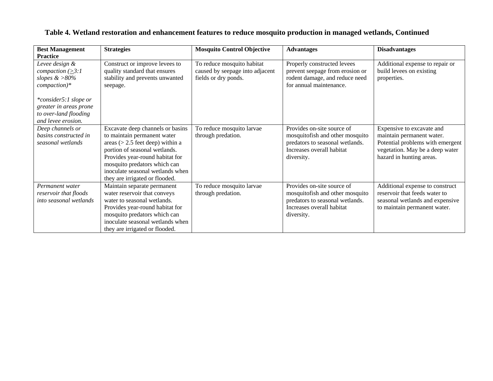| <b>Best Management</b>  | <b>Strategies</b>                 | <b>Mosquito Control Objective</b> | <b>Advantages</b>               | <b>Disadvantages</b>             |
|-------------------------|-----------------------------------|-----------------------------------|---------------------------------|----------------------------------|
| <b>Practice</b>         |                                   |                                   |                                 |                                  |
| Levee design &          | Construct or improve levees to    | To reduce mosquito habitat        | Properly constructed levees     | Additional expense to repair or  |
| compaction $(\geq 3:1)$ | quality standard that ensures     | caused by seepage into adjacent   | prevent seepage from erosion or | build levees on existing         |
| slopes $\&$ >80%        | stability and prevents unwanted   | fields or dry ponds.              | rodent damage, and reduce need  | properties.                      |
| $comparation)*$         | seepage.                          |                                   | for annual maintenance.         |                                  |
|                         |                                   |                                   |                                 |                                  |
| *consider5:1 slope or   |                                   |                                   |                                 |                                  |
| greater in areas prone  |                                   |                                   |                                 |                                  |
| to over-land flooding   |                                   |                                   |                                 |                                  |
| and levee erosion.      |                                   |                                   |                                 |                                  |
| Deep channels or        | Excavate deep channels or basins  | To reduce mosquito larvae         | Provides on-site source of      | Expensive to excavate and        |
| basins constructed in   | to maintain permanent water       | through predation.                | mosquitofish and other mosquito | maintain permanent water.        |
| seasonal wetlands       | areas $(>2.5$ feet deep) within a |                                   | predators to seasonal wetlands. | Potential problems with emergent |
|                         | portion of seasonal wetlands.     |                                   | Increases overall habitat       | vegetation. May be a deep water  |
|                         | Provides year-round habitat for   |                                   | diversity.                      | hazard in hunting areas.         |
|                         | mosquito predators which can      |                                   |                                 |                                  |
|                         | inoculate seasonal wetlands when  |                                   |                                 |                                  |
|                         | they are irrigated or flooded.    |                                   |                                 |                                  |
| Permanent water         | Maintain separate permanent       | To reduce mosquito larvae         | Provides on-site source of      | Additional expense to construct  |
| reservoir that floods   | water reservoir that conveys      | through predation.                | mosquitofish and other mosquito | reservoir that feeds water to    |
| into seasonal wetlands  | water to seasonal wetlands.       |                                   | predators to seasonal wetlands. | seasonal wetlands and expensive  |
|                         | Provides year-round habitat for   |                                   | Increases overall habitat       | to maintain permanent water.     |
|                         | mosquito predators which can      |                                   | diversity.                      |                                  |
|                         | inoculate seasonal wetlands when  |                                   |                                 |                                  |
|                         | they are irrigated or flooded.    |                                   |                                 |                                  |

## **Table 4. Wetland restoration and enhancement features to reduce mosquito production in managed wetlands, Continued**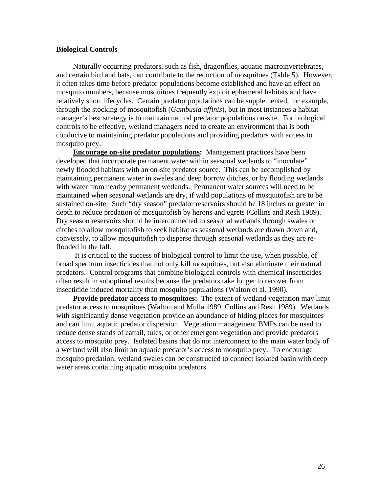### **Biological Controls**

Naturally occurring predators, such as fish, dragonflies, aquatic macroinvertebrates, and certain bird and bats, can contribute to the reduction of mosquitoes (Table 5). However, it often takes time before predator populations become established and have an effect on mosquito numbers, because mosquitoes frequently exploit ephemeral habitats and have relatively short lifecycles. Certain predator populations can be supplemented, for example, through the stocking of mosquitofish (*Gambusia affinis*), but in most instances a habitat manager's best strategy is to maintain natural predator populations on-site. For biological controls to be effective, wetland managers need to create an environment that is both conducive to maintaining predator populations and providing predators with access to mosquito prey.

**Encourage on-site predator populations:** Management practices have been developed that incorporate permanent water within seasonal wetlands to "inoculate" newly flooded habitats with an on-site predator source. This can be accomplished by maintaining permanent water in swales and deep borrow ditches, or by flooding wetlands with water from nearby permanent wetlands. Permanent water sources will need to be maintained when seasonal wetlands are dry, if wild populations of mosquitofish are to be sustained on-site. Such "dry season" predator reservoirs should be 18 inches or greater in depth to reduce predation of mosquitofish by herons and egrets (Collins and Resh 1989). Dry season reservoirs should be interconnected to seasonal wetlands through swales or ditches to allow mosquitofish to seek habitat as seasonal wetlands are drawn down and, conversely, to allow mosquitofish to disperse through seasonal wetlands as they are reflooded in the fall.

 It is critical to the success of biological control to limit the use, when possible, of broad spectrum insecticides that not only kill mosquitoes, but also eliminate their natural predators. Control programs that combine biological controls with chemical insecticides often result in suboptimal results because the predators take longer to recover from insecticide induced mortality than mosquito populations (Walton et al. 1990).

**Provide predator access to mosquitoes:** The extent of wetland vegetation may limit predator access to mosquitoes (Walton and Mulla 1989, Collins and Resh 1989). Wetlands with significantly dense vegetation provide an abundance of hiding places for mosquitoes and can limit aquatic predator dispersion. Vegetation management BMPs can be used to reduce dense stands of cattail, tules, or other emergent vegetation and provide predators access to mosquito prey. Isolated basins that do not interconnect to the main water body of a wetland will also limit an aquatic predator's access to mosquito prey. To encourage mosquito predation, wetland swales can be constructed to connect isolated basin with deep water areas containing aquatic mosquito predators.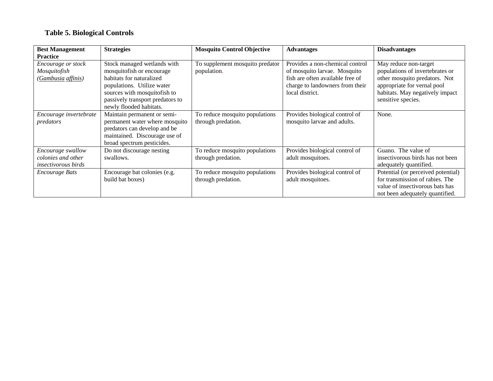### **Table 5. Biological Controls**

| <b>Best Management</b><br><b>Practice</b>                             | <b>Strategies</b>                                                                                                                                                                                                 | <b>Mosquito Control Objective</b>                    | <b>Advantages</b>                                                                                                                                         | <b>Disadvantages</b>                                                                                                                                                              |
|-----------------------------------------------------------------------|-------------------------------------------------------------------------------------------------------------------------------------------------------------------------------------------------------------------|------------------------------------------------------|-----------------------------------------------------------------------------------------------------------------------------------------------------------|-----------------------------------------------------------------------------------------------------------------------------------------------------------------------------------|
| Encourage or stock<br>Mosquitofish<br>(Gambusia affinis)              | Stock managed wetlands with<br>mosquitofish or encourage<br>habitats for naturalized<br>populations. Utilize water<br>sources with mosquitofish to<br>passively transport predators to<br>newly flooded habitats. | To supplement mosquito predator<br>population.       | Provides a non-chemical control<br>of mosquito larvae. Mosquito<br>fish are often available free of<br>charge to landowners from their<br>local district. | May reduce non-target<br>populations of invertebrates or<br>other mosquito predators. Not<br>appropriate for vernal pool<br>habitats. May negatively impact<br>sensitive species. |
| Encourage invertebrate<br>predators                                   | Maintain permanent or semi-<br>permanent water where mosquito<br>predators can develop and be<br>maintained. Discourage use of<br>broad spectrum pesticides.                                                      | To reduce mosquito populations<br>through predation. | Provides biological control of<br>mosquito larvae and adults.                                                                                             | None.                                                                                                                                                                             |
| Encourage swallow<br>colonies and other<br><i>insectivorous birds</i> | Do not discourage nesting<br>swallows.                                                                                                                                                                            | To reduce mosquito populations<br>through predation. | Provides biological control of<br>adult mosquitoes.                                                                                                       | Guano. The value of<br>insectivorous birds has not been<br>adequately quantified.                                                                                                 |
| <i>Encourage Bats</i>                                                 | Encourage bat colonies (e.g.<br>build bat boxes)                                                                                                                                                                  | To reduce mosquito populations<br>through predation. | Provides biological control of<br>adult mosquitoes.                                                                                                       | Potential (or perceived potential)<br>for transmission of rabies. The<br>value of insectivorous bats has<br>not been adequately quantified.                                       |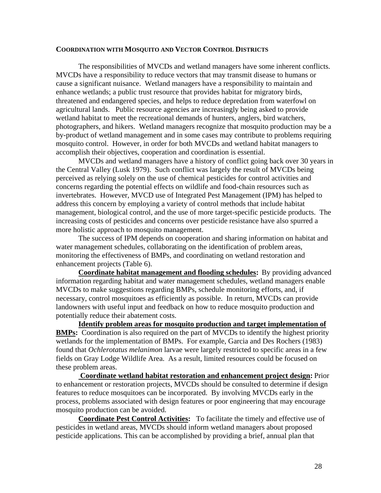#### **COORDINATION WITH MOSQUITO AND VECTOR CONTROL DISTRICTS**

The responsibilities of MVCDs and wetland managers have some inherent conflicts. MVCDs have a responsibility to reduce vectors that may transmit disease to humans or cause a significant nuisance. Wetland managers have a responsibility to maintain and enhance wetlands; a public trust resource that provides habitat for migratory birds, threatened and endangered species, and helps to reduce depredation from waterfowl on agricultural lands. Public resource agencies are increasingly being asked to provide wetland habitat to meet the recreational demands of hunters, anglers, bird watchers, photographers, and hikers. Wetland managers recognize that mosquito production may be a by-product of wetland management and in some cases may contribute to problems requiring mosquito control. However, in order for both MVCDs and wetland habitat managers to accomplish their objectives, cooperation and coordination is essential.

MVCDs and wetland managers have a history of conflict going back over 30 years in the Central Valley (Lusk 1979). Such conflict was largely the result of MVCDs being perceived as relying solely on the use of chemical pesticides for control activities and concerns regarding the potential effects on wildlife and food-chain resources such as invertebrates. However, MVCD use of Integrated Pest Management (IPM) has helped to address this concern by employing a variety of control methods that include habitat management, biological control, and the use of more target-specific pesticide products. The increasing costs of pesticides and concerns over pesticide resistance have also spurred a more holistic approach to mosquito management.

The success of IPM depends on cooperation and sharing information on habitat and water management schedules, collaborating on the identification of problem areas, monitoring the effectiveness of BMPs, and coordinating on wetland restoration and enhancement projects (Table 6).

**Coordinate habitat management and flooding schedules:**By providing advanced information regarding habitat and water management schedules, wetland managers enable MVCDs to make suggestions regarding BMPs, schedule monitoring efforts, and, if necessary, control mosquitoes as efficiently as possible. In return, MVCDs can provide landowners with useful input and feedback on how to reduce mosquito production and potentially reduce their abatement costs.

**Identify problem areas for mosquito production and target implementation of BMPs:**Coordination is also required on the part of MVCDs to identify the highest priority wetlands for the implementation of BMPs. For example, Garcia and Des Rochers (1983) found that *Ochlerotatus melanimon* larvae were largely restricted to specific areas in a few fields on Gray Lodge Wildlife Area. As a result, limited resources could be focused on these problem areas.

 **Coordinate wetland habitat restoration and enhancement project design:** Prior to enhancement or restoration projects, MVCDs should be consulted to determine if design features to reduce mosquitoes can be incorporated. By involving MVCDs early in the process, problems associated with design features or poor engineering that may encourage mosquito production can be avoided.

**Coordinate Pest Control Activities:**To facilitate the timely and effective use of pesticides in wetland areas, MVCDs should inform wetland managers about proposed pesticide applications. This can be accomplished by providing a brief, annual plan that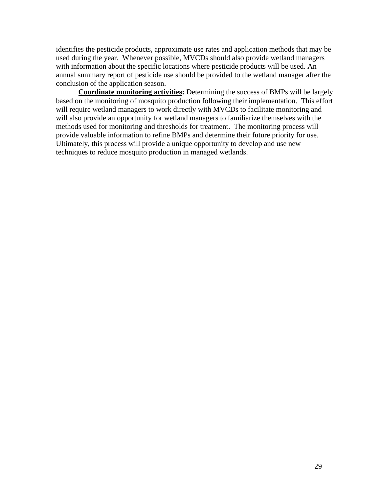identifies the pesticide products, approximate use rates and application methods that may be used during the year. Whenever possible, MVCDs should also provide wetland managers with information about the specific locations where pesticide products will be used. An annual summary report of pesticide use should be provided to the wetland manager after the conclusion of the application season.

**Coordinate monitoring activities:** Determining the success of BMPs will be largely based on the monitoring of mosquito production following their implementation. This effort will require wetland managers to work directly with MVCDs to facilitate monitoring and will also provide an opportunity for wetland managers to familiarize themselves with the methods used for monitoring and thresholds for treatment. The monitoring process will provide valuable information to refine BMPs and determine their future priority for use. Ultimately, this process will provide a unique opportunity to develop and use new techniques to reduce mosquito production in managed wetlands.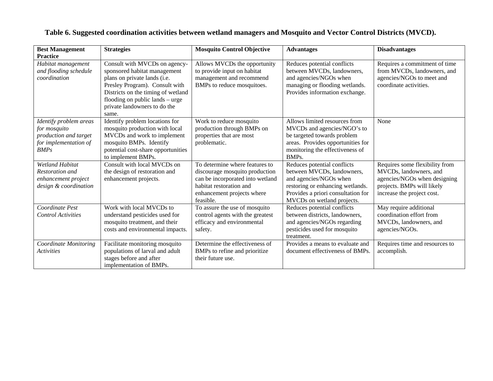| <b>Best Management</b><br><b>Practice</b>                                                        | <b>Strategies</b>                                                                                                                                                                                                                                 | <b>Mosquito Control Objective</b>                                                                                                                                          | <b>Advantages</b>                                                                                                                                                                           | <b>Disadvantages</b>                                                                                                                                 |
|--------------------------------------------------------------------------------------------------|---------------------------------------------------------------------------------------------------------------------------------------------------------------------------------------------------------------------------------------------------|----------------------------------------------------------------------------------------------------------------------------------------------------------------------------|---------------------------------------------------------------------------------------------------------------------------------------------------------------------------------------------|------------------------------------------------------------------------------------------------------------------------------------------------------|
| Habitat management<br>and flooding schedule<br>coordination                                      | Consult with MVCDs on agency-<br>sponsored habitat management<br>plans on private lands (i.e.<br>Presley Program). Consult with<br>Districts on the timing of wetland<br>flooding on public lands - urge<br>private landowners to do the<br>same. | Allows MVCDs the opportunity<br>to provide input on habitat<br>management and recommend<br>BMPs to reduce mosquitoes.                                                      | Reduces potential conflicts<br>between MVCDs, landowners,<br>and agencies/NGOs when<br>managing or flooding wetlands.<br>Provides information exchange.                                     | Requires a commitment of time<br>from MVCDs, landowners, and<br>agencies/NGOs to meet and<br>coordinate activities.                                  |
| Identify problem areas<br>for mosquito<br>production and target<br>for implementation of<br>BMPs | Identify problem locations for<br>mosquito production with local<br>MVCDs and work to implement<br>mosquito BMPs. Identify<br>potential cost-share opportunities<br>to implement BMPs.                                                            | Work to reduce mosquito<br>production through BMPs on<br>properties that are most<br>problematic.                                                                          | Allows limited resources from<br>MVCDs and agencies/NGO's to<br>be targeted towards problem<br>areas. Provides opportunities for<br>monitoring the effectiveness of<br>BMPs.                | None                                                                                                                                                 |
| <b>Wetland Habitat</b><br>Restoration and<br>enhancement project<br>design & coordination        | Consult with local MVCDs on<br>the design of restoration and<br>enhancement projects.                                                                                                                                                             | To determine where features to<br>discourage mosquito production<br>can be incorporated into wetland<br>habitat restoration and<br>enhancement projects where<br>feasible. | Reduces potential conflicts<br>between MVCDs, landowners,<br>and agencies/NGOs when<br>restoring or enhancing wetlands.<br>Provides a priori consultation for<br>MVCDs on wetland projects. | Requires some flexibility from<br>MVCDs, landowners, and<br>agencies/NGOs when designing<br>projects. BMPs will likely<br>increase the project cost. |
| Coordinate Pest<br><b>Control Activities</b>                                                     | Work with local MVCDs to<br>understand pesticides used for<br>mosquito treatment, and their<br>costs and environmental impacts.                                                                                                                   | To assure the use of mosquito<br>control agents with the greatest<br>efficacy and environmental<br>safety.                                                                 | Reduces potential conflicts<br>between districts, landowners,<br>and agencies/NGOs regarding<br>pesticides used for mosquito<br>treatment.                                                  | May require additional<br>coordination effort from<br>MVCDs, landowners, and<br>agencies/NGOs.                                                       |
| Coordinate Monitoring<br><i><u>Activities</u></i>                                                | Facilitate monitoring mosquito<br>populations of larval and adult<br>stages before and after<br>implementation of BMPs.                                                                                                                           | Determine the effectiveness of<br>BMPs to refine and prioritize<br>their future use.                                                                                       | Provides a means to evaluate and<br>document effectiveness of BMPs.                                                                                                                         | Requires time and resources to<br>accomplish.                                                                                                        |

## **Table 6. Suggested coordination activities between wetland managers and Mosquito and Vector Control Districts (MVCD).**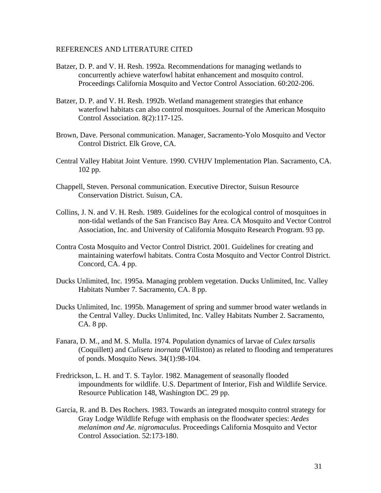### REFERENCES AND LITERATURE CITED

- Batzer, D. P. and V. H. Resh. 1992a. Recommendations for managing wetlands to concurrently achieve waterfowl habitat enhancement and mosquito control. Proceedings California Mosquito and Vector Control Association. 60:202-206.
- Batzer, D. P. and V. H. Resh. 1992b. Wetland management strategies that enhance waterfowl habitats can also control mosquitoes. Journal of the American Mosquito Control Association. 8(2):117-125.
- Brown, Dave. Personal communication. Manager, Sacramento-Yolo Mosquito and Vector Control District. Elk Grove, CA.
- Central Valley Habitat Joint Venture. 1990. CVHJV Implementation Plan. Sacramento, CA. 102 pp.
- Chappell, Steven. Personal communication. Executive Director, Suisun Resource Conservation District. Suisun, CA.
- Collins, J. N. and V. H. Resh. 1989. Guidelines for the ecological control of mosquitoes in non-tidal wetlands of the San Francisco Bay Area. CA Mosquito and Vector Control Association, Inc. and University of California Mosquito Research Program. 93 pp.
- Contra Costa Mosquito and Vector Control District. 2001. Guidelines for creating and maintaining waterfowl habitats. Contra Costa Mosquito and Vector Control District. Concord, CA. 4 pp.
- Ducks Unlimited, Inc. 1995a. Managing problem vegetation. Ducks Unlimited, Inc. Valley Habitats Number 7. Sacramento, CA. 8 pp.
- Ducks Unlimited, Inc. 1995b. Management of spring and summer brood water wetlands in the Central Valley. Ducks Unlimited, Inc. Valley Habitats Number 2. Sacramento, CA. 8 pp.
- Fanara, D. M., and M. S. Mulla. 1974. Population dynamics of larvae of *Culex tarsalis*  (Coquillett) and *Culiseta inornata* (Williston) as related to flooding and temperatures of ponds. Mosquito News. 34(1):98-104.
- Fredrickson, L. H. and T. S. Taylor. 1982. Management of seasonally flooded impoundments for wildlife. U.S. Department of Interior, Fish and Wildlife Service. Resource Publication 148, Washington DC. 29 pp.
- Garcia, R. and B. Des Rochers. 1983. Towards an integrated mosquito control strategy for Gray Lodge Wildlife Refuge with emphasis on the floodwater species: *Aedes melanimon and Ae. nigromaculus*. Proceedings California Mosquito and Vector Control Association. 52:173-180.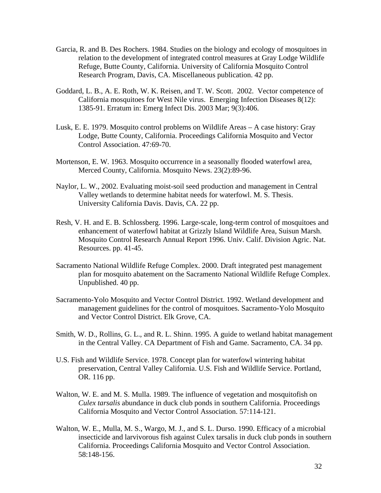- Garcia, R. and B. Des Rochers. 1984. Studies on the biology and ecology of mosquitoes in relation to the development of integrated control measures at Gray Lodge Wildlife Refuge, Butte County, California. University of California Mosquito Control Research Program, Davis, CA. Miscellaneous publication. 42 pp.
- Goddard, L. B., A. E. Roth, W. K. Reisen, and T. W. Scott. 2002. Vector competence of California mosquitoes for West Nile virus. Emerging Infection Diseases 8(12): 1385-91. Erratum in: Emerg Infect Dis. 2003 Mar; 9(3):406.
- Lusk, E. E. 1979. Mosquito control problems on Wildlife Areas A case history: Gray Lodge, Butte County, California. Proceedings California Mosquito and Vector Control Association. 47:69-70.
- Mortenson, E. W. 1963. Mosquito occurrence in a seasonally flooded waterfowl area, Merced County, California. Mosquito News. 23(2):89-96.
- Naylor, L. W., 2002. Evaluating moist-soil seed production and management in Central Valley wetlands to determine habitat needs for waterfowl. M. S. Thesis. University California Davis. Davis, CA. 22 pp.
- Resh, V. H. and E. B. Schlossberg. 1996. Large-scale, long-term control of mosquitoes and enhancement of waterfowl habitat at Grizzly Island Wildlife Area, Suisun Marsh. Mosquito Control Research Annual Report 1996. Univ. Calif. Division Agric. Nat. Resources. pp. 41-45.
- Sacramento National Wildlife Refuge Complex. 2000. Draft integrated pest management plan for mosquito abatement on the Sacramento National Wildlife Refuge Complex. Unpublished. 40 pp.
- Sacramento-Yolo Mosquito and Vector Control District. 1992. Wetland development and management guidelines for the control of mosquitoes. Sacramento-Yolo Mosquito and Vector Control District. Elk Grove, CA.
- Smith, W. D., Rollins, G. L., and R. L. Shinn. 1995. A guide to wetland habitat management in the Central Valley. CA Department of Fish and Game. Sacramento, CA. 34 pp.
- U.S. Fish and Wildlife Service. 1978. Concept plan for waterfowl wintering habitat preservation, Central Valley California. U.S. Fish and Wildlife Service. Portland, OR. 116 pp.
- Walton, W. E. and M. S. Mulla. 1989. The influence of vegetation and mosquitofish on *Culex tarsalis* abundance in duck club ponds in southern California. Proceedings California Mosquito and Vector Control Association. 57:114-121.
- Walton, W. E., Mulla, M. S., Wargo, M. J., and S. L. Durso. 1990. Efficacy of a microbial insecticide and larvivorous fish against Culex tarsalis in duck club ponds in southern California. Proceedings California Mosquito and Vector Control Association. 58:148-156.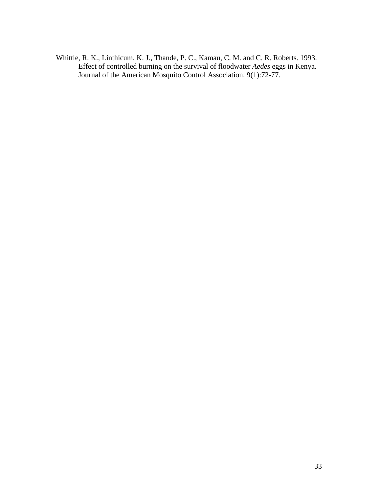Whittle, R. K., Linthicum, K. J., Thande, P. C., Kamau, C. M. and C. R. Roberts. 1993. Effect of controlled burning on the survival of floodwater *Aedes* eggs in Kenya. Journal of the American Mosquito Control Association. 9(1):72-77.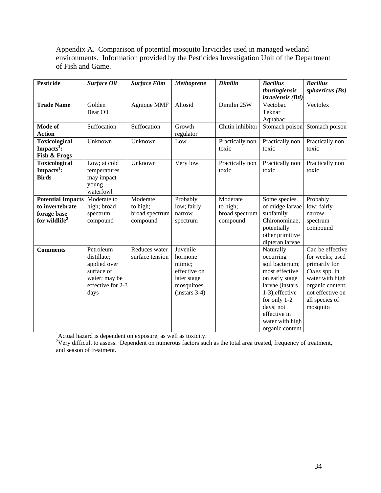Appendix A. Comparison of potential mosquito larvicides used in managed wetland environments. Information provided by the Pesticides Investigation Unit of the Department of Fish and Game.

| <b>Pesticide</b>                                                               | <b>Surface Oil</b>                                                                                   | <b>Surface Film</b>                                | <b>Methoprene</b>                                                                             | <b>Dimilin</b>                                     | <b>Bacillus</b>                                                                                                                                                                                        | <b>Bacillus</b>                                                                                                                                                |
|--------------------------------------------------------------------------------|------------------------------------------------------------------------------------------------------|----------------------------------------------------|-----------------------------------------------------------------------------------------------|----------------------------------------------------|--------------------------------------------------------------------------------------------------------------------------------------------------------------------------------------------------------|----------------------------------------------------------------------------------------------------------------------------------------------------------------|
|                                                                                |                                                                                                      |                                                    |                                                                                               |                                                    | thuringiensis<br>israelensis (Bti)                                                                                                                                                                     | sphaericus $(Bs)$                                                                                                                                              |
| <b>Trade Name</b>                                                              | Golden<br>Bear Oil                                                                                   | Agnique MMF                                        | Altosid                                                                                       | Dimilin 25W                                        | Vectobac<br>Teknar<br>Aquabac                                                                                                                                                                          | Vectolex                                                                                                                                                       |
| Mode of<br><b>Action</b>                                                       | Suffocation                                                                                          | Suffocation                                        | Growth<br>regulator                                                                           | Chitin inhibitor                                   | Stomach poison                                                                                                                                                                                         | Stomach poison                                                                                                                                                 |
| <b>Toxicological</b><br>Impacts <sup>1</sup> :<br>Fish & Frogs                 | Unknown                                                                                              | Unknown                                            | Low                                                                                           | Practically non<br>toxic                           | Practically non<br>toxic                                                                                                                                                                               | Practically non<br>toxic                                                                                                                                       |
| <b>Toxicological</b><br>Impacts <sup>1</sup> :<br><b>Birds</b>                 | Low; at cold<br>temperatures<br>may impact<br>young<br>waterfowl                                     | Unknown                                            | Very low                                                                                      | Practically non<br>toxic                           | Practically non<br>toxic                                                                                                                                                                               | Practically non<br>toxic                                                                                                                                       |
| <b>Potential Impacts</b><br>to invertebrate<br>forage base<br>for wildlife $2$ | Moderate to<br>high; broad<br>spectrum<br>compound                                                   | Moderate<br>to high;<br>broad spectrum<br>compound | Probably<br>low; fairly<br>narrow<br>spectrum                                                 | Moderate<br>to high;<br>broad spectrum<br>compound | Some species<br>of midge larvae<br>subfamily<br>Chironominae;<br>potentially<br>other primitive<br>dipteran larvae                                                                                     | Probably<br>low; fairly<br>narrow<br>spectrum<br>compound                                                                                                      |
| <b>Comments</b>                                                                | Petroleum<br>distillate;<br>applied over<br>surface of<br>water; may be<br>effective for 2-3<br>days | Reduces water<br>surface tension                   | Juvenile<br>hormone<br>mimic;<br>effective on<br>later stage<br>mosquitoes<br>$(instars 3-4)$ |                                                    | Naturally<br>occurring<br>soil bacterium;<br>most effective<br>on early stage<br>larvae (instars<br>1-3); effective<br>for only 1-2<br>days; not<br>effective in<br>water with high<br>organic content | Can be effective<br>for weeks; used<br>primarily for<br>Culex spp. in<br>water with high<br>organic content;<br>not effective on<br>all species of<br>mosquito |

<sup>1</sup>Actual hazard is dependent on exposure, as well as toxicity.<br><sup>2</sup>Very difficult to assess. Dependent on numerous factors such as the total area treated, frequency of treatment, and season of treatment.